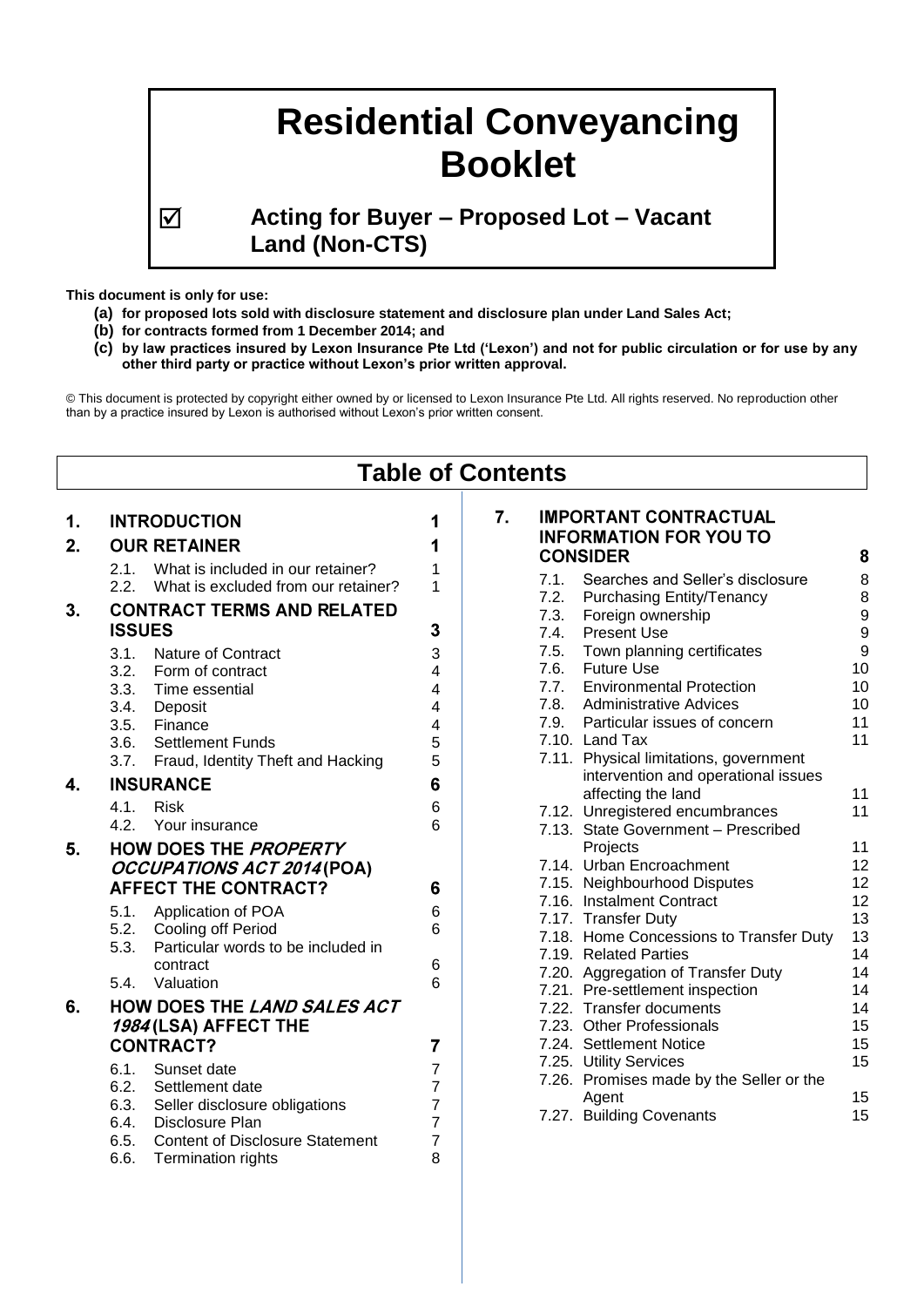# **Residential Conveyancing Booklet**

 **Acting for Buyer – Proposed Lot – Vacant Land (Non-CTS)**

**This document is only for use:**

- **(a) for proposed lots sold with disclosure statement and disclosure plan under Land Sales Act;**
- **(b) for contracts formed from 1 December 2014; and**
- **(c) by law practices insured by Lexon Insurance Pte Ltd ('Lexon') and not for public circulation or for use by any other third party or practice without Lexon's prior written approval.**

© This document is protected by copyright either owned by or licensed to Lexon Insurance Pte Ltd. All rights reserved. No reproduction other than by a practice insured by Lexon is authorised without Lexon's prior written consent.

| <b>Table of Contents</b> |                                                                                                                                                                                                                                                                                |                                              |                                                                                                                                                                                                                                                                                                                                                                                                                  |  |  |  |
|--------------------------|--------------------------------------------------------------------------------------------------------------------------------------------------------------------------------------------------------------------------------------------------------------------------------|----------------------------------------------|------------------------------------------------------------------------------------------------------------------------------------------------------------------------------------------------------------------------------------------------------------------------------------------------------------------------------------------------------------------------------------------------------------------|--|--|--|
| 1.<br>2.                 | <b>INTRODUCTION</b><br><b>OUR RETAINER</b><br>2.1.<br>What is included in our retainer?<br>2.2.<br>What is excluded from our retainer?                                                                                                                                         | 1<br>1<br>1<br>1                             | <b>IMPORTANT CONTRACTUAL</b><br>7.<br><b>INFORMATION FOR YOU TO</b><br><b>CONSIDER</b><br>8<br>Searches and Seller's disclosure<br>8<br>7.1.                                                                                                                                                                                                                                                                     |  |  |  |
| 3.                       | <b>CONTRACT TERMS AND RELATED</b><br><b>ISSUES</b><br>3.1.<br><b>Nature of Contract</b><br>3.2.<br>Form of contract<br>3.3.<br>Time essential<br>3.4. Deposit<br>3.5. Finance<br>3.6. Settlement Funds<br>3.7. Fraud, Identity Theft and Hacking                               | 3<br>3<br>4<br>4<br>4<br>4<br>5<br>5         | 8<br>7.2.<br><b>Purchasing Entity/Tenancy</b><br>9<br>7.3.<br>Foreign ownership<br>9<br>7.4.<br><b>Present Use</b><br>9<br>Town planning certificates<br>7.5.<br>10<br><b>Future Use</b><br>7.6.<br>7.7.<br><b>Environmental Protection</b><br>10<br>7.8.<br><b>Administrative Advices</b><br>10<br>7.9.<br>Particular issues of concern<br>11<br>11<br>7.10. Land Tax<br>7.11. Physical limitations, government |  |  |  |
| 4.                       | <b>INSURANCE</b><br><b>Risk</b><br>$4.1$ .<br>4.2.<br>Your insurance                                                                                                                                                                                                           | 6<br>6<br>6                                  | intervention and operational issues<br>affecting the land<br>11<br>11<br>7.12. Unregistered encumbrances<br>7.13. State Government - Prescribed                                                                                                                                                                                                                                                                  |  |  |  |
| 5.                       | <b>HOW DOES THE PROPERTY</b><br>OCCUPATIONS ACT 2014 (POA)<br><b>AFFECT THE CONTRACT?</b><br>5.1. Application of POA<br>5.2.<br><b>Cooling off Period</b><br>Particular words to be included in<br>5.3.<br>contract<br>5.4. Valuation                                          | 6<br>6<br>6<br>6<br>6                        | 11<br>Projects<br>7.14. Urban Encroachment<br>12<br>7.15. Neighbourhood Disputes<br>12<br>7.16. Instalment Contract<br>12<br>13<br>7.17. Transfer Duty<br>13<br>7.18. Home Concessions to Transfer Duty<br>7.19. Related Parties<br>14<br>14<br>7.20. Aggregation of Transfer Duty<br>7.21. Pre-settlement inspection<br>14                                                                                      |  |  |  |
| 6.                       | HOW DOES THE LAND SALES ACT<br>1984 (LSA) AFFECT THE<br><b>CONTRACT?</b><br>6.1.<br>Sunset date<br>6.2.<br>Settlement date<br>6.3.<br>Seller disclosure obligations<br>Disclosure Plan<br>6.4.<br>6.5.<br><b>Content of Disclosure Statement</b><br>6.6.<br>Termination rights | $\overline{7}$<br>7<br>7<br>7<br>7<br>7<br>8 | 7.22. Transfer documents<br>14<br>7.23. Other Professionals<br>15<br>15<br>7.24. Settlement Notice<br>15<br>7.25. Utility Services<br>7.26. Promises made by the Seller or the<br>15<br>Agent<br>7.27. Building Covenants<br>15                                                                                                                                                                                  |  |  |  |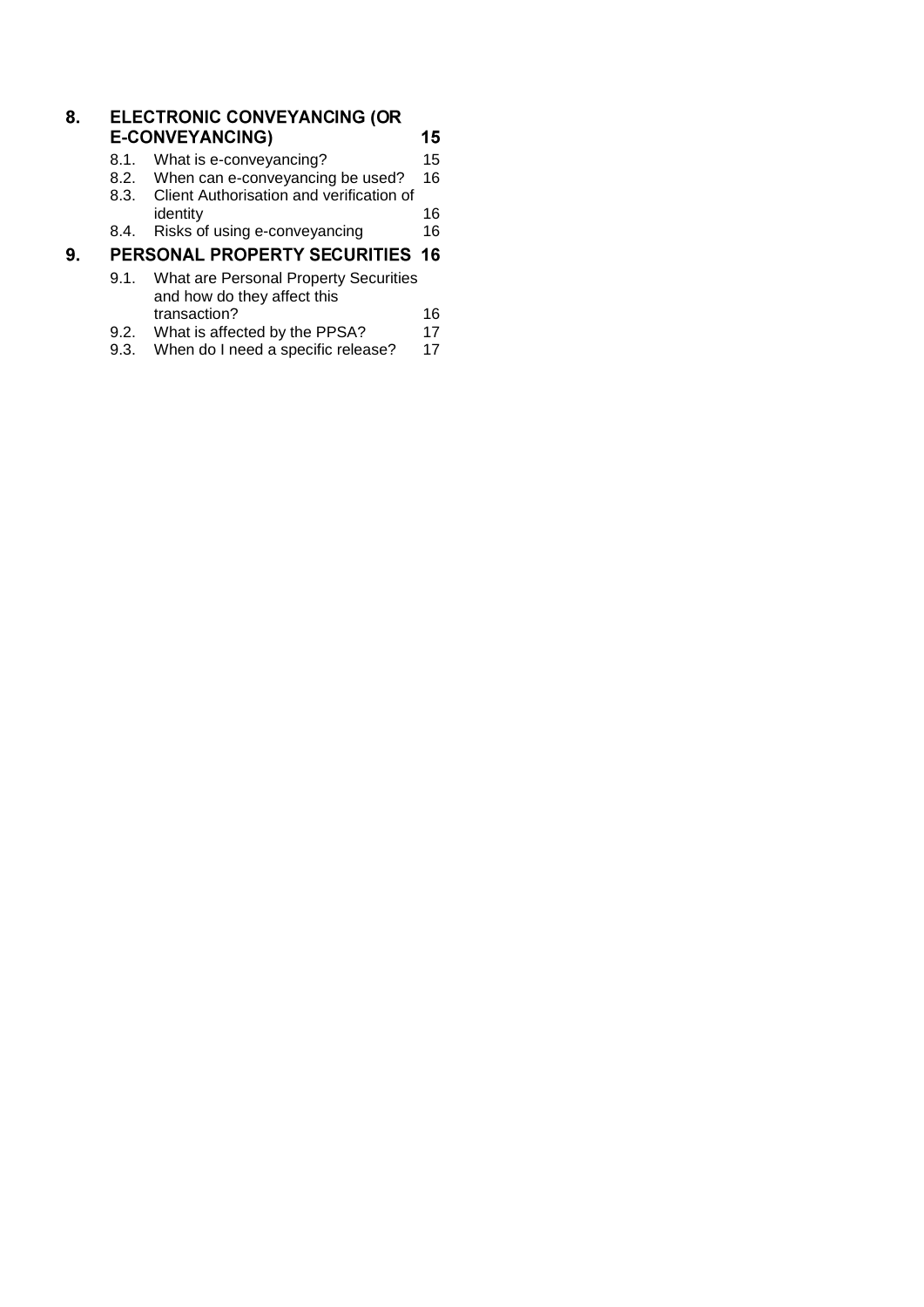| 8. | <b>ELECTRONIC CONVEYANCING (OR</b>               |                                                                      |    |  |  |
|----|--------------------------------------------------|----------------------------------------------------------------------|----|--|--|
|    |                                                  | <b>E-CONVEYANCING)</b>                                               | 15 |  |  |
|    | 8.1.                                             | What is e-conveyancing?                                              | 15 |  |  |
|    | 8.2.                                             | When can e-conveyancing be used?                                     | 16 |  |  |
|    | Client Authorisation and verification of<br>8.3. |                                                                      |    |  |  |
|    |                                                  | identity                                                             | 16 |  |  |
|    | 8.4.                                             | Risks of using e-conveyancing                                        | 16 |  |  |
| 9. |                                                  | <b>PERSONAL PROPERTY SECURITIES</b>                                  | 16 |  |  |
|    | 9.1.                                             | What are Personal Property Securities<br>and how do they affect this |    |  |  |
|    |                                                  | transaction?                                                         | 16 |  |  |
|    | 9.2.                                             | What is affected by the PPSA?                                        | 17 |  |  |
|    | 9.3.                                             | When do I need a specific release?                                   | 17 |  |  |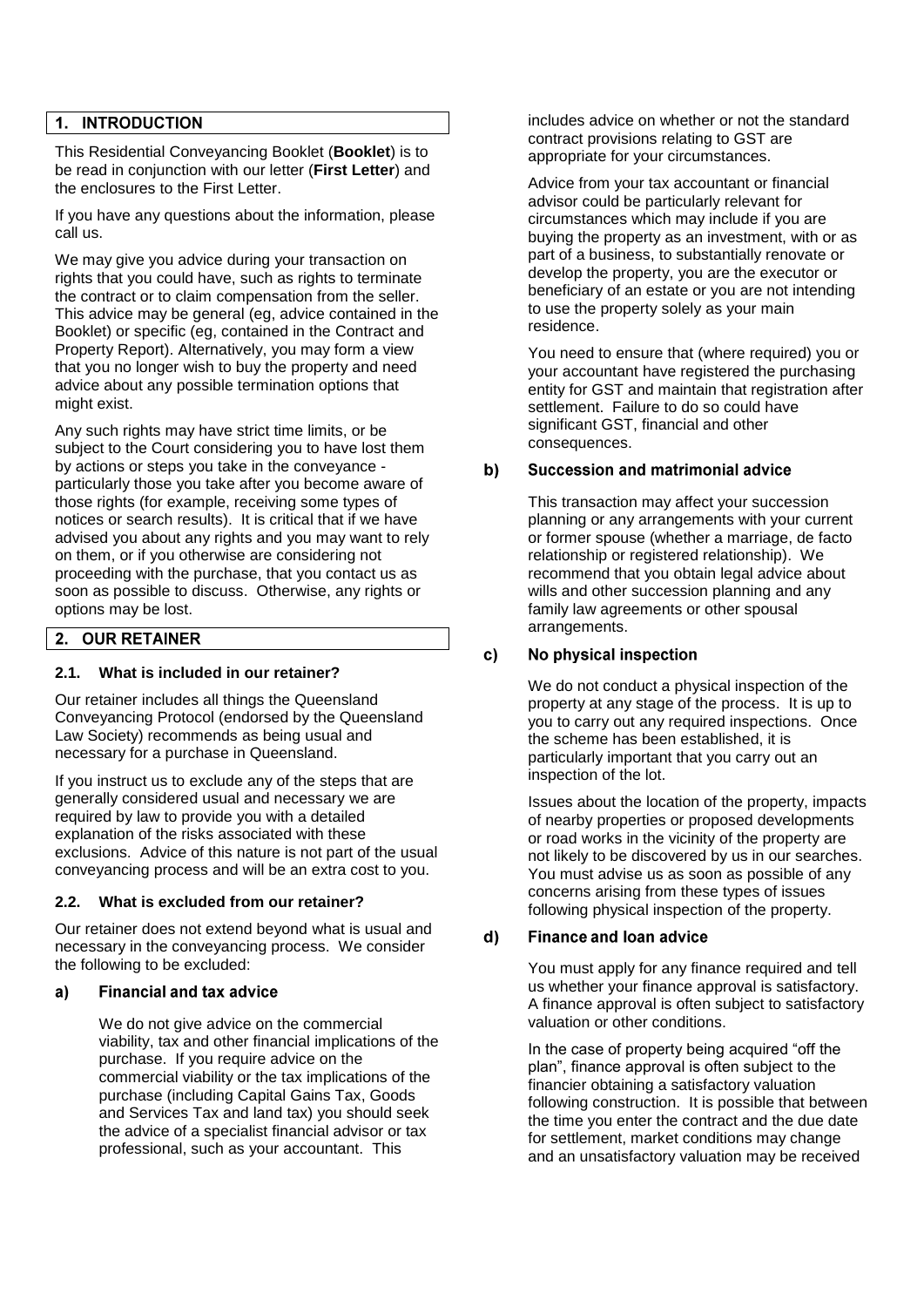### 1. INTRODUCTION

This Residential Conveyancing Booklet (**Booklet**) is to be read in conjunction with our letter (**First Letter**) and the enclosures to the First Letter.

If you have any questions about the information, please call us.

We may give you advice during your transaction on rights that you could have, such as rights to terminate the contract or to claim compensation from the seller. This advice may be general (eg, advice contained in the Booklet) or specific (eg, contained in the Contract and Property Report). Alternatively, you may form a view that you no longer wish to buy the property and need advice about any possible termination options that might exist.

Any such rights may have strict time limits, or be subject to the Court considering you to have lost them by actions or steps you take in the conveyance particularly those you take after you become aware of those rights (for example, receiving some types of notices or search results). It is critical that if we have advised you about any rights and you may want to rely on them, or if you otherwise are considering not proceeding with the purchase, that you contact us as soon as possible to discuss. Otherwise, any rights or options may be lost.

#### **OUR RETAINER**  $2.$

### <span id="page-2-0"></span>**2.1. What is included in our retainer?**

Our retainer includes all things the Queensland Conveyancing Protocol (endorsed by the Queensland Law Society) recommends as being usual and necessary for a purchase in Queensland.

If you instruct us to exclude any of the steps that are generally considered usual and necessary we are required by law to provide you with a detailed explanation of the risks associated with these exclusions. Advice of this nature is not part of the usual conveyancing process and will be an extra cost to you.

#### <span id="page-2-1"></span>**2.2. What is excluded from our retainer?**

Our retainer does not extend beyond what is usual and necessary in the conveyancing process. We consider the following to be excluded:

#### **Financial and tax advice**  $a)$

We do not give advice on the commercial viability, tax and other financial implications of the purchase. If you require advice on the commercial viability or the tax implications of the purchase (including Capital Gains Tax, Goods and Services Tax and land tax) you should seek the advice of a specialist financial advisor or tax professional, such as your accountant. This

includes advice on whether or not the standard contract provisions relating to GST are appropriate for your circumstances.

Advice from your tax accountant or financial advisor could be particularly relevant for circumstances which may include if you are buying the property as an investment, with or as part of a business, to substantially renovate or develop the property, you are the executor or beneficiary of an estate or you are not intending to use the property solely as your main residence.

You need to ensure that (where required) you or your accountant have registered the purchasing entity for GST and maintain that registration after settlement. Failure to do so could have significant GST, financial and other consequences.

#### $b)$ Succession and matrimonial advice

This transaction may affect your succession planning or any arrangements with your current or former spouse (whether a marriage, de facto relationship or registered relationship). We recommend that you obtain legal advice about wills and other succession planning and any family law agreements or other spousal arrangements.

#### $c)$ No physical inspection

We do not conduct a physical inspection of the property at any stage of the process. It is up to you to carry out any required inspections. Once the scheme has been established, it is particularly important that you carry out an inspection of the lot.

Issues about the location of the property, impacts of nearby properties or proposed developments or road works in the vicinity of the property are not likely to be discovered by us in our searches. You must advise us as soon as possible of any concerns arising from these types of issues following physical inspection of the property.

#### **Finance and loan advice**  $d)$

You must apply for any finance required and tell us whether your finance approval is satisfactory. A finance approval is often subject to satisfactory valuation or other conditions.

In the case of property being acquired "off the plan", finance approval is often subject to the financier obtaining a satisfactory valuation following construction. It is possible that between the time you enter the contract and the due date for settlement, market conditions may change and an unsatisfactory valuation may be received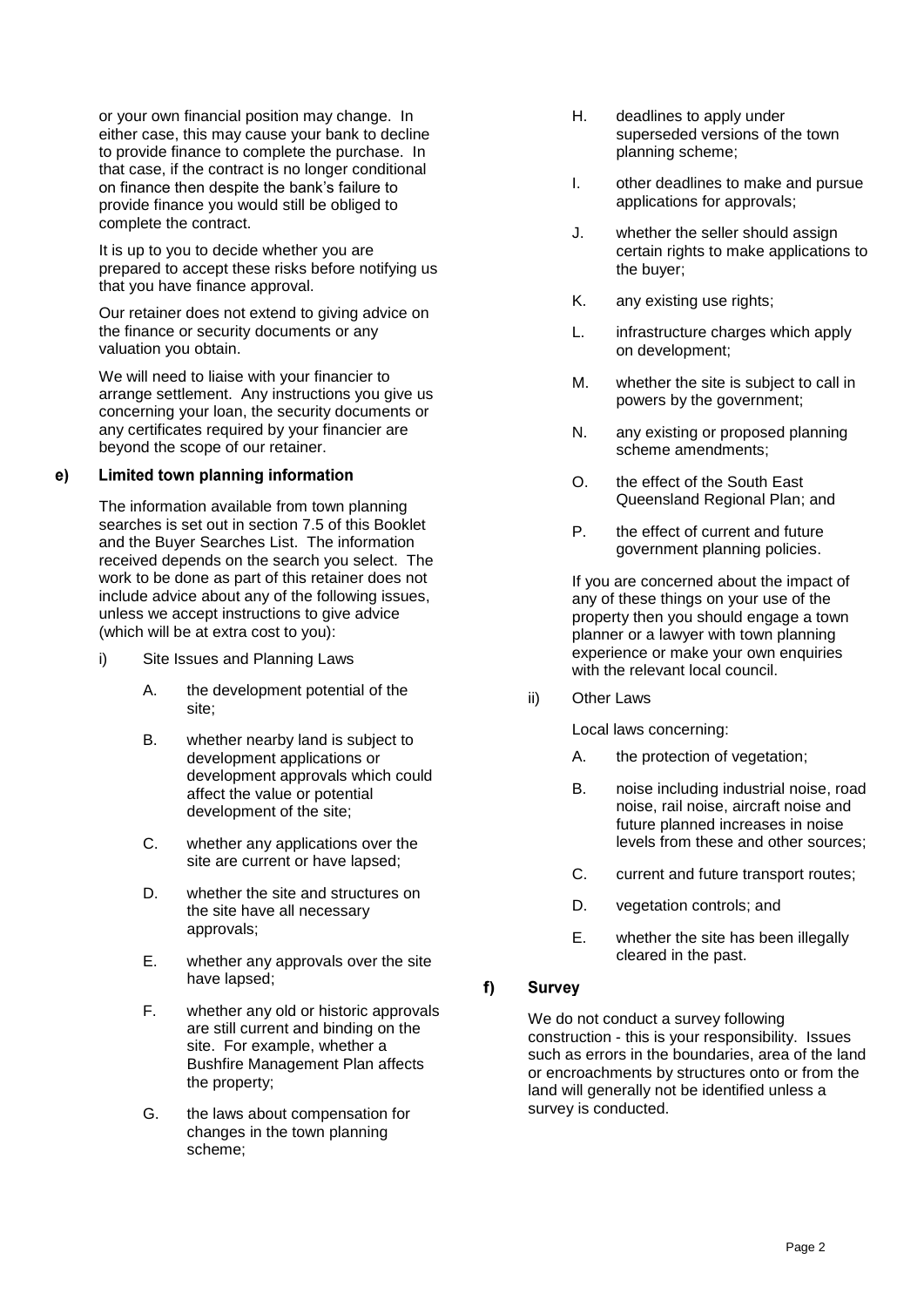or your own financial position may change. In either case, this may cause your bank to decline to provide finance to complete the purchase. In that case, if the contract is no longer conditional on finance then despite the bank's failure to provide finance you would still be obliged to complete the contract.

It is up to you to decide whether you are prepared to accept these risks before notifying us that you have finance approval.

Our retainer does not extend to giving advice on the finance or security documents or any valuation you obtain.

We will need to liaise with your financier to arrange settlement. Any instructions you give us concerning your loan, the security documents or any certificates required by your financier are beyond the scope of our retainer.

#### Limited town planning information e)

The information available from town planning searches is set out in section [7.5](#page-10-2) of this Booklet and the Buyer Searches List. The information received depends on the search you select. The work to be done as part of this retainer does not include advice about any of the following issues, unless we accept instructions to give advice (which will be at extra cost to you):

- i) Site Issues and Planning Laws
	- A. the development potential of the site;
	- B. whether nearby land is subject to development applications or development approvals which could affect the value or potential development of the site;
	- C. whether any applications over the site are current or have lapsed;
	- D. whether the site and structures on the site have all necessary approvals;
	- E. whether any approvals over the site have lapsed;
	- F. whether any old or historic approvals are still current and binding on the site. For example, whether a Bushfire Management Plan affects the property;
	- G. the laws about compensation for changes in the town planning scheme;
- H. deadlines to apply under superseded versions of the town planning scheme;
- I. other deadlines to make and pursue applications for approvals;
- J. whether the seller should assign certain rights to make applications to the buyer;
- K. any existing use rights;
- L. infrastructure charges which apply on development;
- M. whether the site is subject to call in powers by the government;
- N. any existing or proposed planning scheme amendments;
- O. the effect of the South East Queensland Regional Plan; and
- P. the effect of current and future government planning policies.

If you are concerned about the impact of any of these things on your use of the property then you should engage a town planner or a lawyer with town planning experience or make your own enquiries with the relevant local council.

ii) Other Laws

Local laws concerning:

- A. the protection of vegetation;
- B. noise including industrial noise, road noise, rail noise, aircraft noise and future planned increases in noise levels from these and other sources;
- C. current and future transport routes;
- D. vegetation controls; and
- E. whether the site has been illegally cleared in the past.

#### $f$ **Survey**

We do not conduct a survey following construction - this is your responsibility. Issues such as errors in the boundaries, area of the land or encroachments by structures onto or from the land will generally not be identified unless a survey is conducted.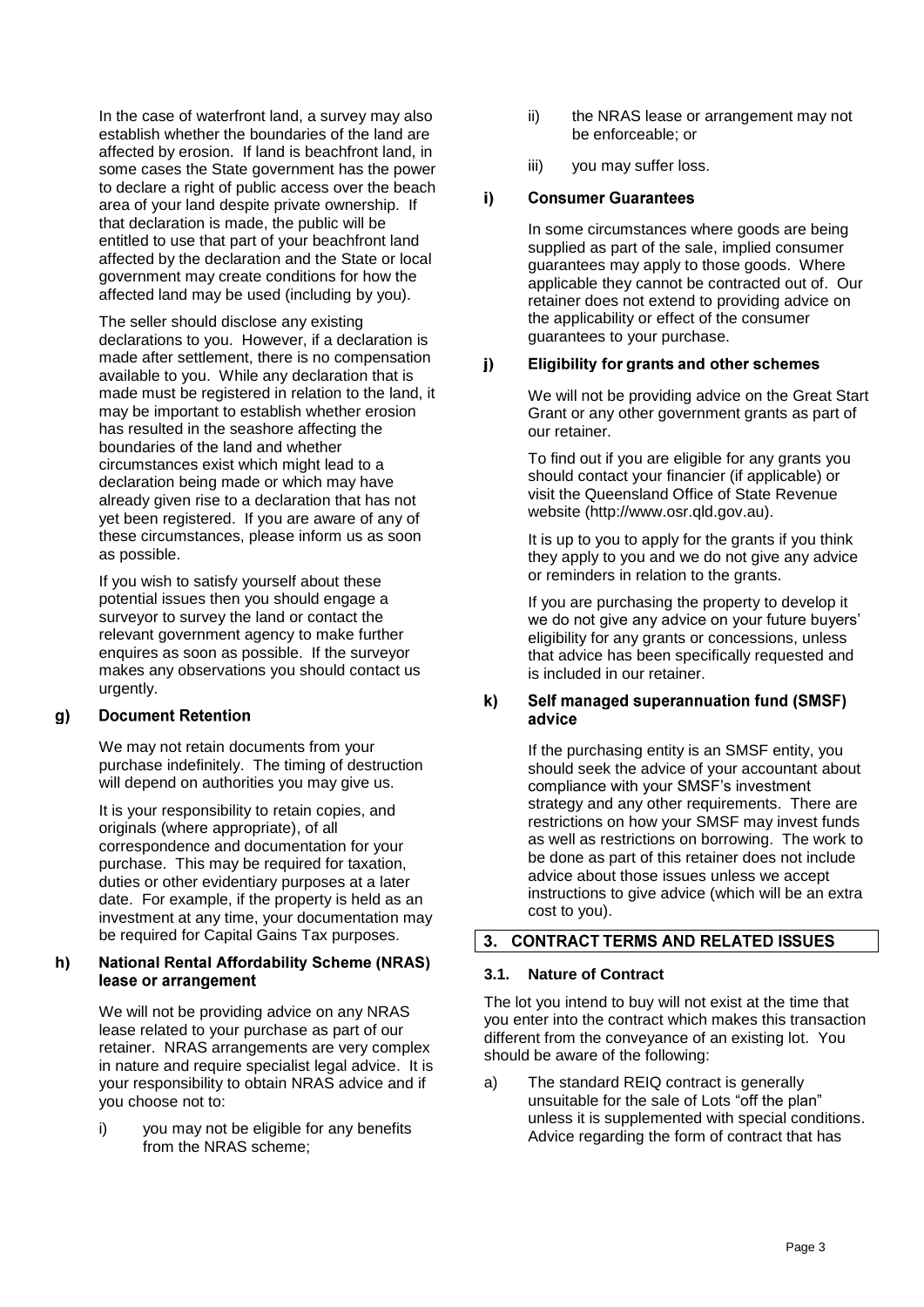In the case of waterfront land, a survey may also establish whether the boundaries of the land are affected by erosion. If land is beachfront land, in some cases the State government has the power to declare a right of public access over the beach area of your land despite private ownership. If that declaration is made, the public will be entitled to use that part of your beachfront land affected by the declaration and the State or local government may create conditions for how the affected land may be used (including by you).

The seller should disclose any existing declarations to you. However, if a declaration is made after settlement, there is no compensation available to you. While any declaration that is made must be registered in relation to the land, it may be important to establish whether erosion has resulted in the seashore affecting the boundaries of the land and whether circumstances exist which might lead to a declaration being made or which may have already given rise to a declaration that has not yet been registered. If you are aware of any of these circumstances, please inform us as soon as possible.

If you wish to satisfy yourself about these potential issues then you should engage a surveyor to survey the land or contact the relevant government agency to make further enquires as soon as possible. If the surveyor makes any observations you should contact us urgently.

#### $q)$ **Document Retention**

We may not retain documents from your purchase indefinitely. The timing of destruction will depend on authorities you may give us.

It is your responsibility to retain copies, and originals (where appropriate), of all correspondence and documentation for your purchase. This may be required for taxation, duties or other evidentiary purposes at a later date. For example, if the property is held as an investment at any time, your documentation may be required for Capital Gains Tax purposes.

#### **National Rental Affordability Scheme (NRAS)** h) lease or arrangement

We will not be providing advice on any NRAS lease related to your purchase as part of our retainer. NRAS arrangements are very complex in nature and require specialist legal advice. It is your responsibility to obtain NRAS advice and if you choose not to:

i) you may not be eligible for any benefits from the NRAS scheme;

- ii) the NRAS lease or arrangement may not be enforceable; or
- iii) you may suffer loss.

#### $\mathbf{i}$ **Consumer Guarantees**

In some circumstances where goods are being supplied as part of the sale, implied consumer guarantees may apply to those goods. Where applicable they cannot be contracted out of. Our retainer does not extend to providing advice on the applicability or effect of the consumer guarantees to your purchase.

#### $\mathbf{j}$ **Eligibility for grants and other schemes**

We will not be providing advice on the Great Start Grant or any other government grants as part of our retainer.

To find out if you are eligible for any grants you should contact your financier (if applicable) or visit the Queensland Office of State Revenue website (http://www.osr.qld.gov.au).

It is up to you to apply for the grants if you think they apply to you and we do not give any advice or reminders in relation to the grants.

If you are purchasing the property to develop it we do not give any advice on your future buyers' eligibility for any grants or concessions, unless that advice has been specifically requested and is included in our retainer.

#### k) Self managed superannuation fund (SMSF) advice

If the purchasing entity is an SMSF entity, you should seek the advice of your accountant about compliance with your SMSF's investment strategy and any other requirements. There are restrictions on how your SMSF may invest funds as well as restrictions on borrowing. The work to be done as part of this retainer does not include advice about those issues unless we accept instructions to give advice (which will be an extra cost to you).

#### $3<sub>1</sub>$ **CONTRACT TERMS AND RELATED ISSUES**

### <span id="page-4-0"></span>**3.1. Nature of Contract**

The lot you intend to buy will not exist at the time that you enter into the contract which makes this transaction different from the conveyance of an existing lot. You should be aware of the following:

a) The standard REIQ contract is generally unsuitable for the sale of Lots "off the plan" unless it is supplemented with special conditions. Advice regarding the form of contract that has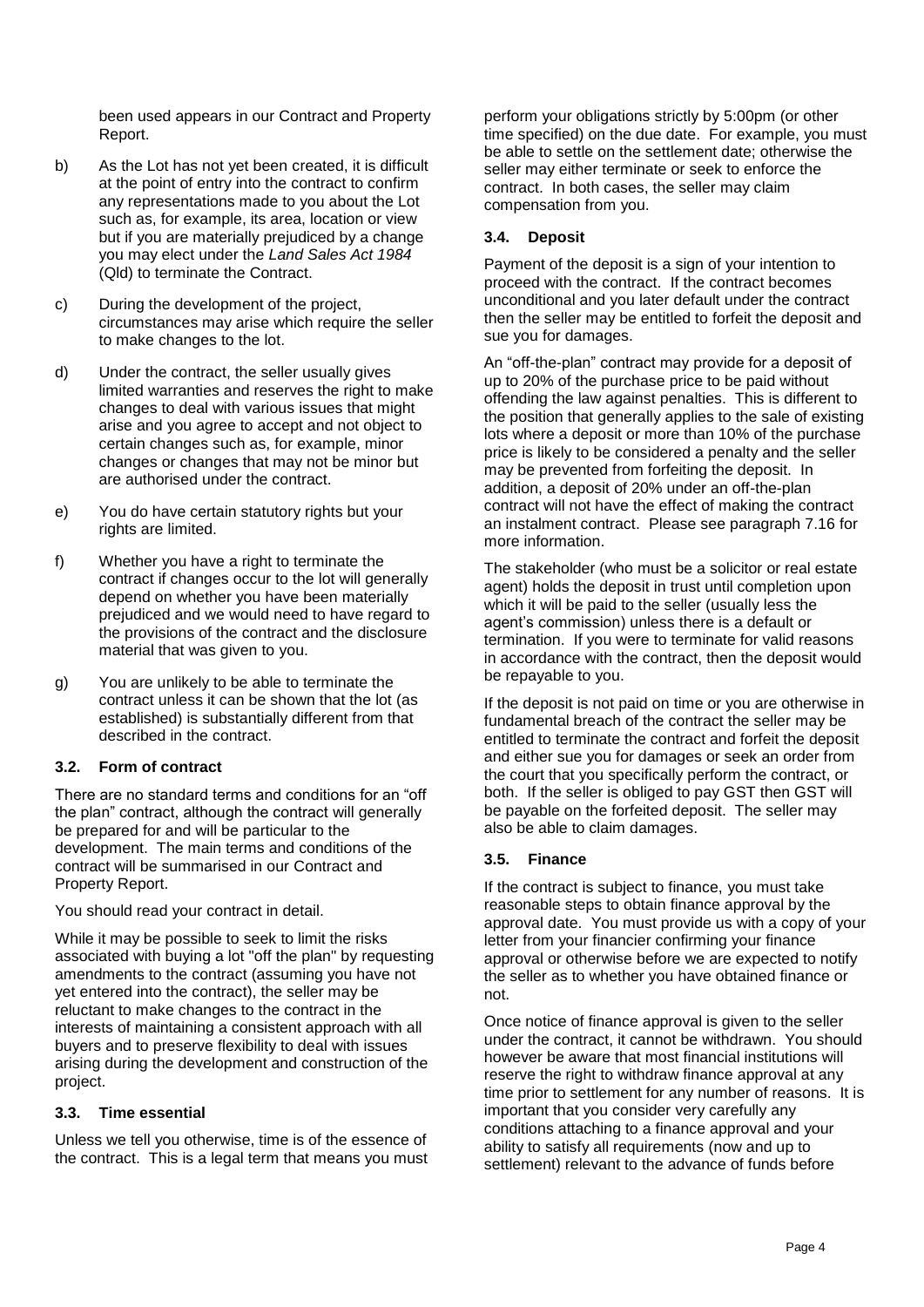been used appears in our Contract and Property Report.

- b) As the Lot has not yet been created, it is difficult at the point of entry into the contract to confirm any representations made to you about the Lot such as, for example, its area, location or view but if you are materially prejudiced by a change you may elect under the *Land Sales Act 1984* (Qld) to terminate the Contract.
- c) During the development of the project, circumstances may arise which require the seller to make changes to the lot.
- d) Under the contract, the seller usually gives limited warranties and reserves the right to make changes to deal with various issues that might arise and you agree to accept and not object to certain changes such as, for example, minor changes or changes that may not be minor but are authorised under the contract.
- e) You do have certain statutory rights but your rights are limited.
- f) Whether you have a right to terminate the contract if changes occur to the lot will generally depend on whether you have been materially prejudiced and we would need to have regard to the provisions of the contract and the disclosure material that was given to you.
- g) You are unlikely to be able to terminate the contract unless it can be shown that the lot (as established) is substantially different from that described in the contract.

### <span id="page-5-0"></span>**3.2. Form of contract**

There are no standard terms and conditions for an "off the plan" contract, although the contract will generally be prepared for and will be particular to the development. The main terms and conditions of the contract will be summarised in our Contract and Property Report.

You should read your contract in detail.

While it may be possible to seek to limit the risks associated with buying a lot "off the plan" by requesting amendments to the contract (assuming you have not yet entered into the contract), the seller may be reluctant to make changes to the contract in the interests of maintaining a consistent approach with all buyers and to preserve flexibility to deal with issues arising during the development and construction of the project.

### <span id="page-5-1"></span>**3.3. Time essential**

Unless we tell you otherwise, time is of the essence of the contract. This is a legal term that means you must perform your obligations strictly by 5:00pm (or other time specified) on the due date. For example, you must be able to settle on the settlement date; otherwise the seller may either terminate or seek to enforce the contract. In both cases, the seller may claim compensation from you.

# <span id="page-5-2"></span>**3.4. Deposit**

Payment of the deposit is a sign of your intention to proceed with the contract. If the contract becomes unconditional and you later default under the contract then the seller may be entitled to forfeit the deposit and sue you for damages.

An "off-the-plan" contract may provide for a deposit of up to 20% of the purchase price to be paid without offending the law against penalties. This is different to the position that generally applies to the sale of existing lots where a deposit or more than 10% of the purchase price is likely to be considered a penalty and the seller may be prevented from forfeiting the deposit. In addition, a deposit of 20% under an off-the-plan contract will not have the effect of making the contract an instalment contract. Please see paragraph [7.16](#page-13-2) for more information.

The stakeholder (who must be a solicitor or real estate agent) holds the deposit in trust until completion upon which it will be paid to the seller (usually less the agent's commission) unless there is a default or termination. If you were to terminate for valid reasons in accordance with the contract, then the deposit would be repayable to you.

If the deposit is not paid on time or you are otherwise in fundamental breach of the contract the seller may be entitled to terminate the contract and forfeit the deposit and either sue you for damages or seek an order from the court that you specifically perform the contract, or both. If the seller is obliged to pay GST then GST will be payable on the forfeited deposit. The seller may also be able to claim damages.

### <span id="page-5-3"></span>**3.5. Finance**

If the contract is subject to finance, you must take reasonable steps to obtain finance approval by the approval date. You must provide us with a copy of your letter from your financier confirming your finance approval or otherwise before we are expected to notify the seller as to whether you have obtained finance or not.

Once notice of finance approval is given to the seller under the contract, it cannot be withdrawn. You should however be aware that most financial institutions will reserve the right to withdraw finance approval at any time prior to settlement for any number of reasons. It is important that you consider very carefully any conditions attaching to a finance approval and your ability to satisfy all requirements (now and up to settlement) relevant to the advance of funds before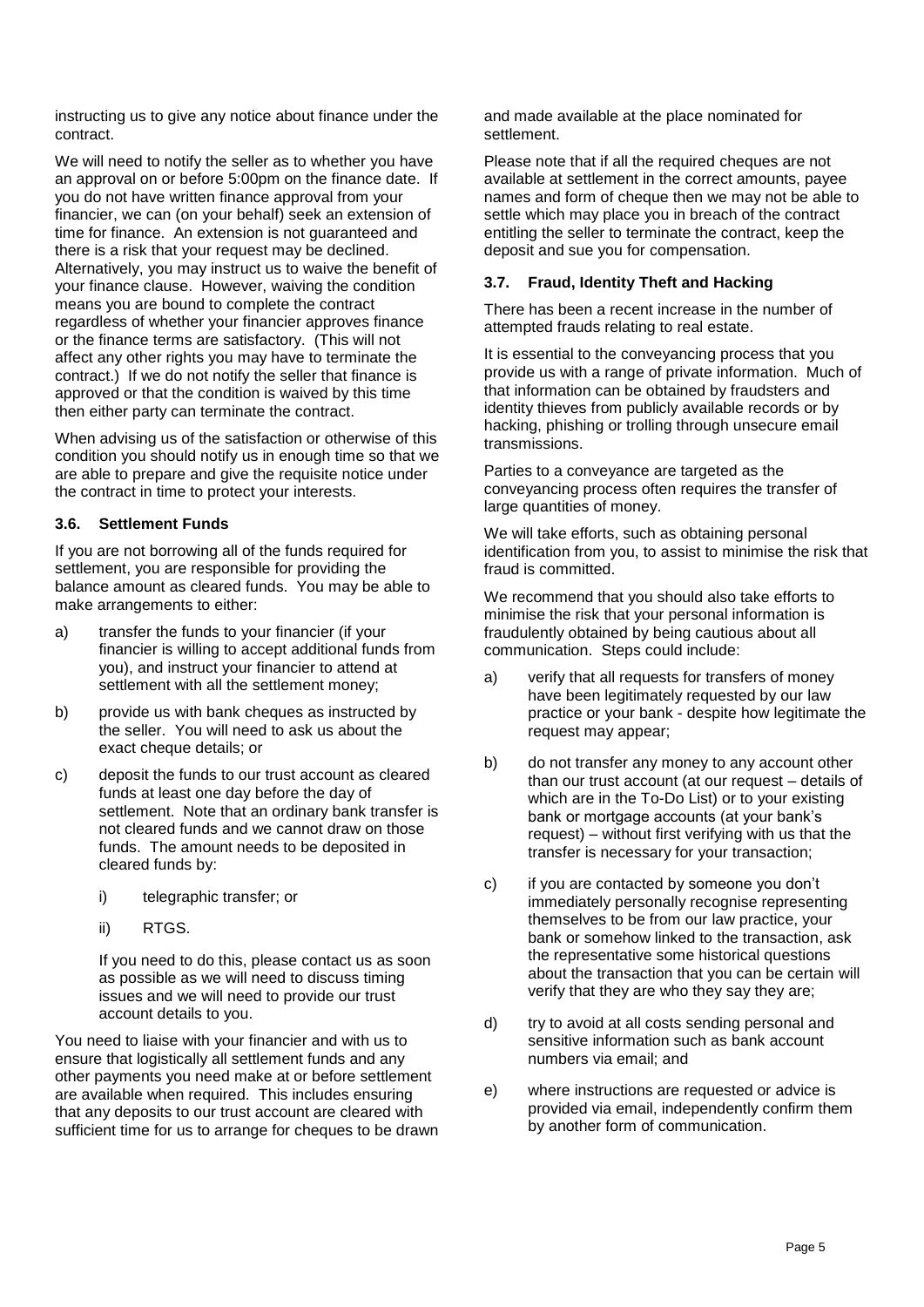instructing us to give any notice about finance under the contract.

We will need to notify the seller as to whether you have an approval on or before 5:00pm on the finance date. If you do not have written finance approval from your financier, we can (on your behalf) seek an extension of time for finance. An extension is not guaranteed and there is a risk that your request may be declined. Alternatively, you may instruct us to waive the benefit of your finance clause. However, waiving the condition means you are bound to complete the contract regardless of whether your financier approves finance or the finance terms are satisfactory. (This will not affect any other rights you may have to terminate the contract.) If we do not notify the seller that finance is approved or that the condition is waived by this time then either party can terminate the contract.

When advising us of the satisfaction or otherwise of this condition you should notify us in enough time so that we are able to prepare and give the requisite notice under the contract in time to protect your interests.

### <span id="page-6-0"></span>**3.6. Settlement Funds**

If you are not borrowing all of the funds required for settlement, you are responsible for providing the balance amount as cleared funds. You may be able to make arrangements to either:

- a) transfer the funds to your financier (if your financier is willing to accept additional funds from you), and instruct your financier to attend at settlement with all the settlement money;
- b) provide us with bank cheques as instructed by the seller. You will need to ask us about the exact cheque details; or
- c) deposit the funds to our trust account as cleared funds at least one day before the day of settlement. Note that an ordinary bank transfer is not cleared funds and we cannot draw on those funds. The amount needs to be deposited in cleared funds by:
	- i) telegraphic transfer; or
	- ii) RTGS.

If you need to do this, please contact us as soon as possible as we will need to discuss timing issues and we will need to provide our trust account details to you.

You need to liaise with your financier and with us to ensure that logistically all settlement funds and any other payments you need make at or before settlement are available when required. This includes ensuring that any deposits to our trust account are cleared with sufficient time for us to arrange for cheques to be drawn and made available at the place nominated for settlement.

Please note that if all the required cheques are not available at settlement in the correct amounts, payee names and form of cheque then we may not be able to settle which may place you in breach of the contract entitling the seller to terminate the contract, keep the deposit and sue you for compensation.

# <span id="page-6-1"></span>**3.7. Fraud, Identity Theft and Hacking**

There has been a recent increase in the number of attempted frauds relating to real estate.

It is essential to the conveyancing process that you provide us with a range of private information. Much of that information can be obtained by fraudsters and identity thieves from publicly available records or by hacking, phishing or trolling through unsecure email transmissions.

Parties to a conveyance are targeted as the conveyancing process often requires the transfer of large quantities of money.

We will take efforts, such as obtaining personal identification from you, to assist to minimise the risk that fraud is committed.

We recommend that you should also take efforts to minimise the risk that your personal information is fraudulently obtained by being cautious about all communication. Steps could include:

- a) verify that all requests for transfers of money have been legitimately requested by our law practice or your bank - despite how legitimate the request may appear;
- b) do not transfer any money to any account other than our trust account (at our request – details of which are in the To-Do List) or to your existing bank or mortgage accounts (at your bank's request) – without first verifying with us that the transfer is necessary for your transaction;
- c) if you are contacted by someone you don't immediately personally recognise representing themselves to be from our law practice, your bank or somehow linked to the transaction, ask the representative some historical questions about the transaction that you can be certain will verify that they are who they say they are;
- d) try to avoid at all costs sending personal and sensitive information such as bank account numbers via email; and
- e) where instructions are requested or advice is provided via email, independently confirm them by another form of communication.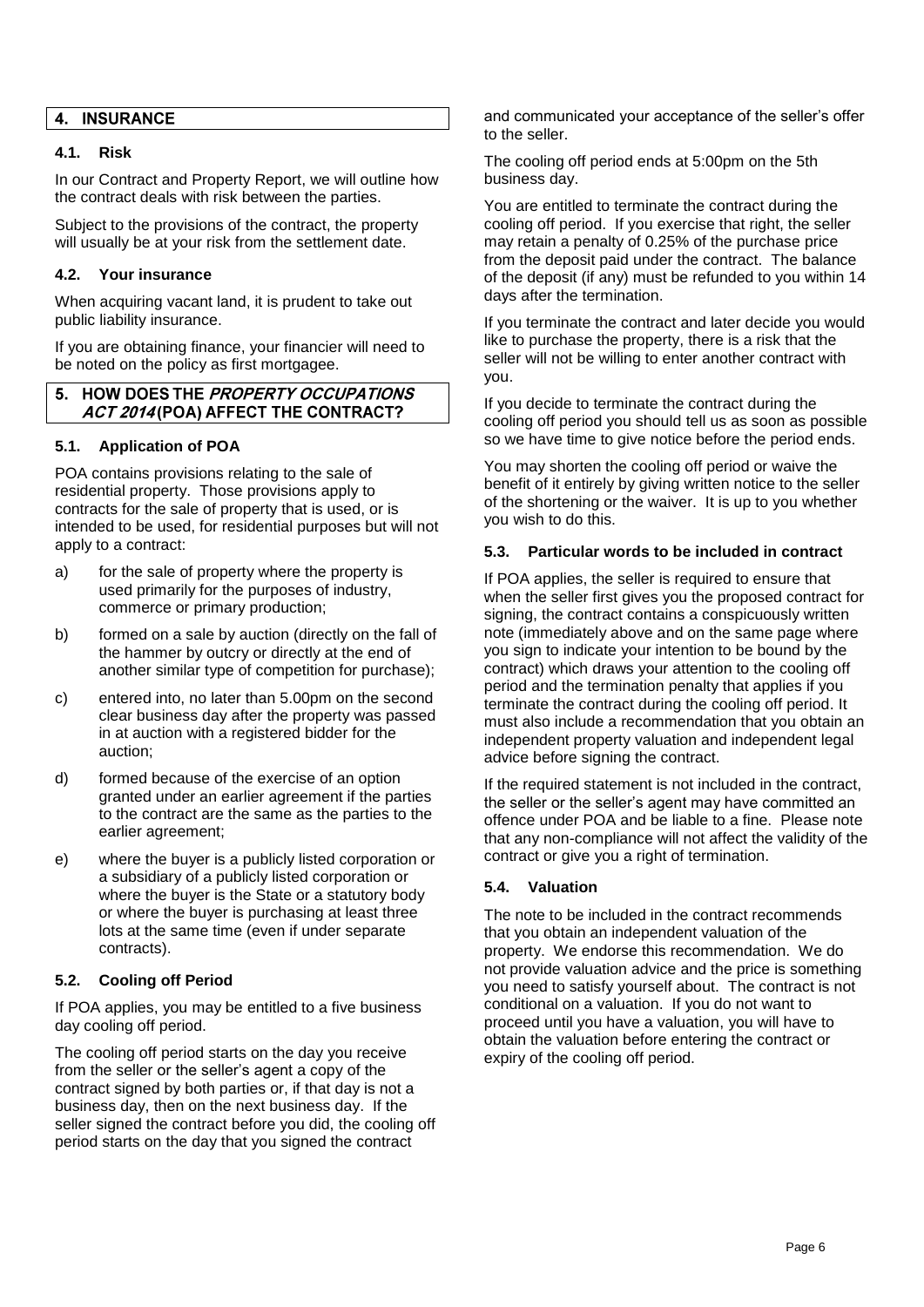#### **INSURANCE** 4.

### <span id="page-7-0"></span>**4.1. Risk**

In our Contract and Property Report, we will outline how the contract deals with risk between the parties.

Subject to the provisions of the contract, the property will usually be at your risk from the settlement date.

#### <span id="page-7-1"></span>**4.2. Your insurance**

When acquiring vacant land, it is prudent to take out public liability insurance.

If you are obtaining finance, your financier will need to be noted on the policy as first mortgagee.

#### HOW DOES THE PROPERTY OCCUPATIONS 5. ACT 2014 (POA) AFFECT THE CONTRACT?

#### <span id="page-7-2"></span>**5.1. Application of POA**

POA contains provisions relating to the sale of residential property. Those provisions apply to contracts for the sale of property that is used, or is intended to be used, for residential purposes but will not apply to a contract:

- a) for the sale of property where the property is used primarily for the purposes of industry, commerce or primary production;
- b) formed on a sale by auction (directly on the fall of the hammer by outcry or directly at the end of another similar type of competition for purchase);
- c) entered into, no later than 5.00pm on the second clear business day after the property was passed in at auction with a registered bidder for the auction;
- d) formed because of the exercise of an option granted under an earlier agreement if the parties to the contract are the same as the parties to the earlier agreement;
- e) where the buyer is a publicly listed corporation or a subsidiary of a publicly listed corporation or where the buyer is the State or a statutory body or where the buyer is purchasing at least three lots at the same time (even if under separate contracts).

### <span id="page-7-3"></span>**5.2. Cooling off Period**

If POA applies, you may be entitled to a five business day cooling off period.

The cooling off period starts on the day you receive from the seller or the seller's agent a copy of the contract signed by both parties or, if that day is not a business day, then on the next business day. If the seller signed the contract before you did, the cooling off period starts on the day that you signed the contract

and communicated your acceptance of the seller's offer to the seller.

The cooling off period ends at 5:00pm on the 5th business day.

You are entitled to terminate the contract during the cooling off period. If you exercise that right, the seller may retain a penalty of 0.25% of the purchase price from the deposit paid under the contract. The balance of the deposit (if any) must be refunded to you within 14 days after the termination.

If you terminate the contract and later decide you would like to purchase the property, there is a risk that the seller will not be willing to enter another contract with you.

If you decide to terminate the contract during the cooling off period you should tell us as soon as possible so we have time to give notice before the period ends.

You may shorten the cooling off period or waive the benefit of it entirely by giving written notice to the seller of the shortening or the waiver. It is up to you whether you wish to do this.

### <span id="page-7-4"></span>**5.3. Particular words to be included in contract**

If POA applies, the seller is required to ensure that when the seller first gives you the proposed contract for signing, the contract contains a conspicuously written note (immediately above and on the same page where you sign to indicate your intention to be bound by the contract) which draws your attention to the cooling off period and the termination penalty that applies if you terminate the contract during the cooling off period. It must also include a recommendation that you obtain an independent property valuation and independent legal advice before signing the contract.

If the required statement is not included in the contract, the seller or the seller's agent may have committed an offence under POA and be liable to a fine. Please note that any non-compliance will not affect the validity of the contract or give you a right of termination.

### <span id="page-7-5"></span>**5.4. Valuation**

The note to be included in the contract recommends that you obtain an independent valuation of the property. We endorse this recommendation. We do not provide valuation advice and the price is something you need to satisfy yourself about. The contract is not conditional on a valuation. If you do not want to proceed until you have a valuation, you will have to obtain the valuation before entering the contract or expiry of the cooling off period.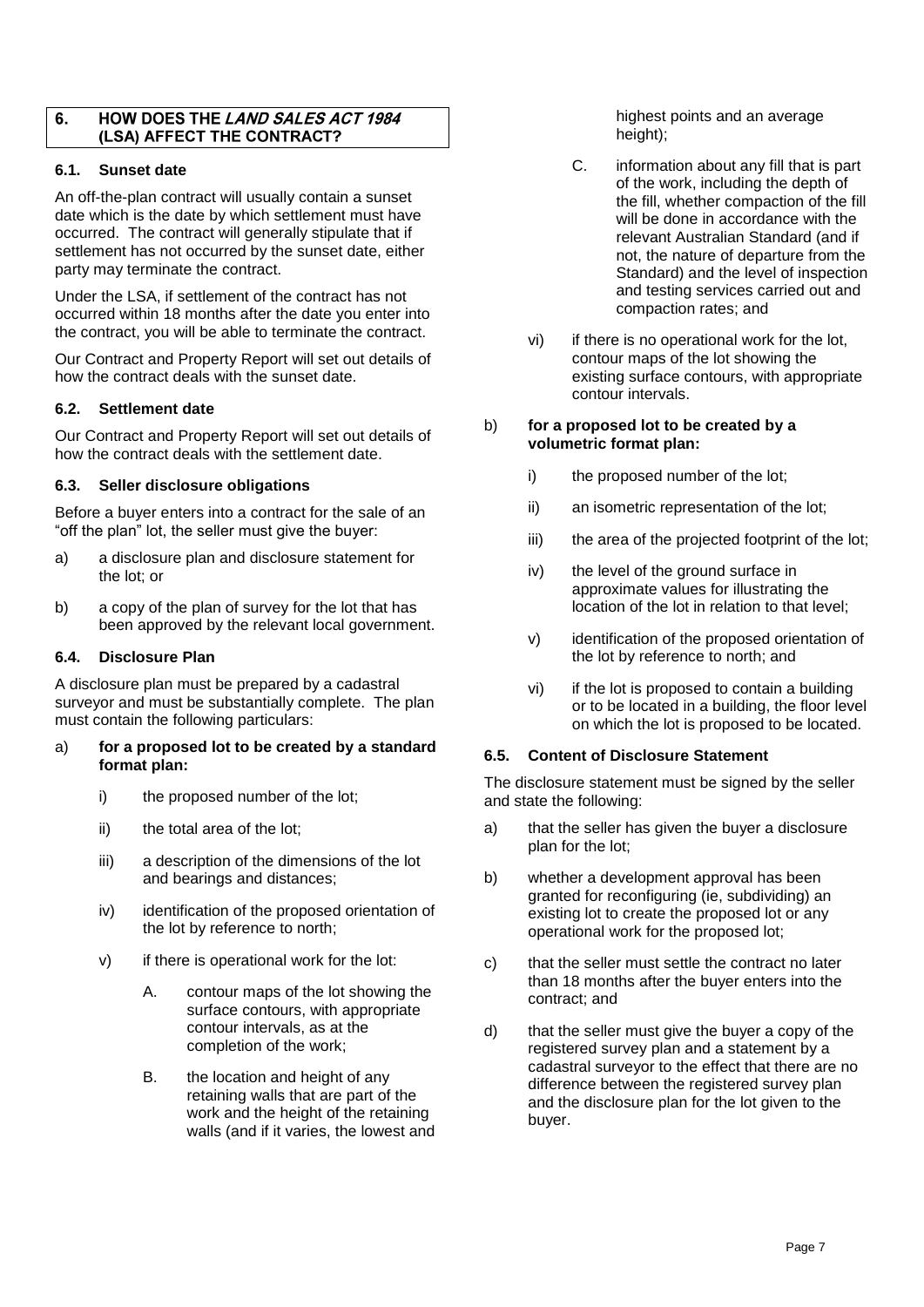#### HOW DOES THE LAND SALES ACT 1984 6. (LSA) AFFECT THE CONTRACT?

### <span id="page-8-0"></span>**6.1. Sunset date**

An off-the-plan contract will usually contain a sunset date which is the date by which settlement must have occurred. The contract will generally stipulate that if settlement has not occurred by the sunset date, either party may terminate the contract.

Under the LSA, if settlement of the contract has not occurred within 18 months after the date you enter into the contract, you will be able to terminate the contract.

Our Contract and Property Report will set out details of how the contract deals with the sunset date.

# <span id="page-8-1"></span>**6.2. Settlement date**

Our Contract and Property Report will set out details of how the contract deals with the settlement date.

# <span id="page-8-2"></span>**6.3. Seller disclosure obligations**

Before a buyer enters into a contract for the sale of an "off the plan" lot, the seller must give the buyer:

- a) a disclosure plan and disclosure statement for the lot; or
- b) a copy of the plan of survey for the lot that has been approved by the relevant local government.

### <span id="page-8-3"></span>**6.4. Disclosure Plan**

A disclosure plan must be prepared by a cadastral surveyor and must be substantially complete. The plan must contain the following particulars:

#### a) **for a proposed lot to be created by a standard format plan:**

- i) the proposed number of the lot;
- ii) the total area of the lot:
- iii) a description of the dimensions of the lot and bearings and distances;
- iv) identification of the proposed orientation of the lot by reference to north;
- v) if there is operational work for the lot:
	- A. contour maps of the lot showing the surface contours, with appropriate contour intervals, as at the completion of the work;
	- B. the location and height of any retaining walls that are part of the work and the height of the retaining walls (and if it varies, the lowest and

highest points and an average height);

- C. information about any fill that is part of the work, including the depth of the fill, whether compaction of the fill will be done in accordance with the relevant Australian Standard (and if not, the nature of departure from the Standard) and the level of inspection and testing services carried out and compaction rates; and
- vi) if there is no operational work for the lot, contour maps of the lot showing the existing surface contours, with appropriate contour intervals.

#### b) **for a proposed lot to be created by a volumetric format plan:**

- i) the proposed number of the lot;
- ii) an isometric representation of the lot;
- iii) the area of the projected footprint of the lot;
- iv) the level of the ground surface in approximate values for illustrating the location of the lot in relation to that level;
- v) identification of the proposed orientation of the lot by reference to north; and
- vi) if the lot is proposed to contain a building or to be located in a building, the floor level on which the lot is proposed to be located.

### <span id="page-8-4"></span>**6.5. Content of Disclosure Statement**

The disclosure statement must be signed by the seller and state the following:

- a) that the seller has given the buyer a disclosure plan for the lot;
- b) whether a development approval has been granted for reconfiguring (ie, subdividing) an existing lot to create the proposed lot or any operational work for the proposed lot;
- c) that the seller must settle the contract no later than 18 months after the buyer enters into the contract; and
- d) that the seller must give the buyer a copy of the registered survey plan and a statement by a cadastral surveyor to the effect that there are no difference between the registered survey plan and the disclosure plan for the lot given to the buyer.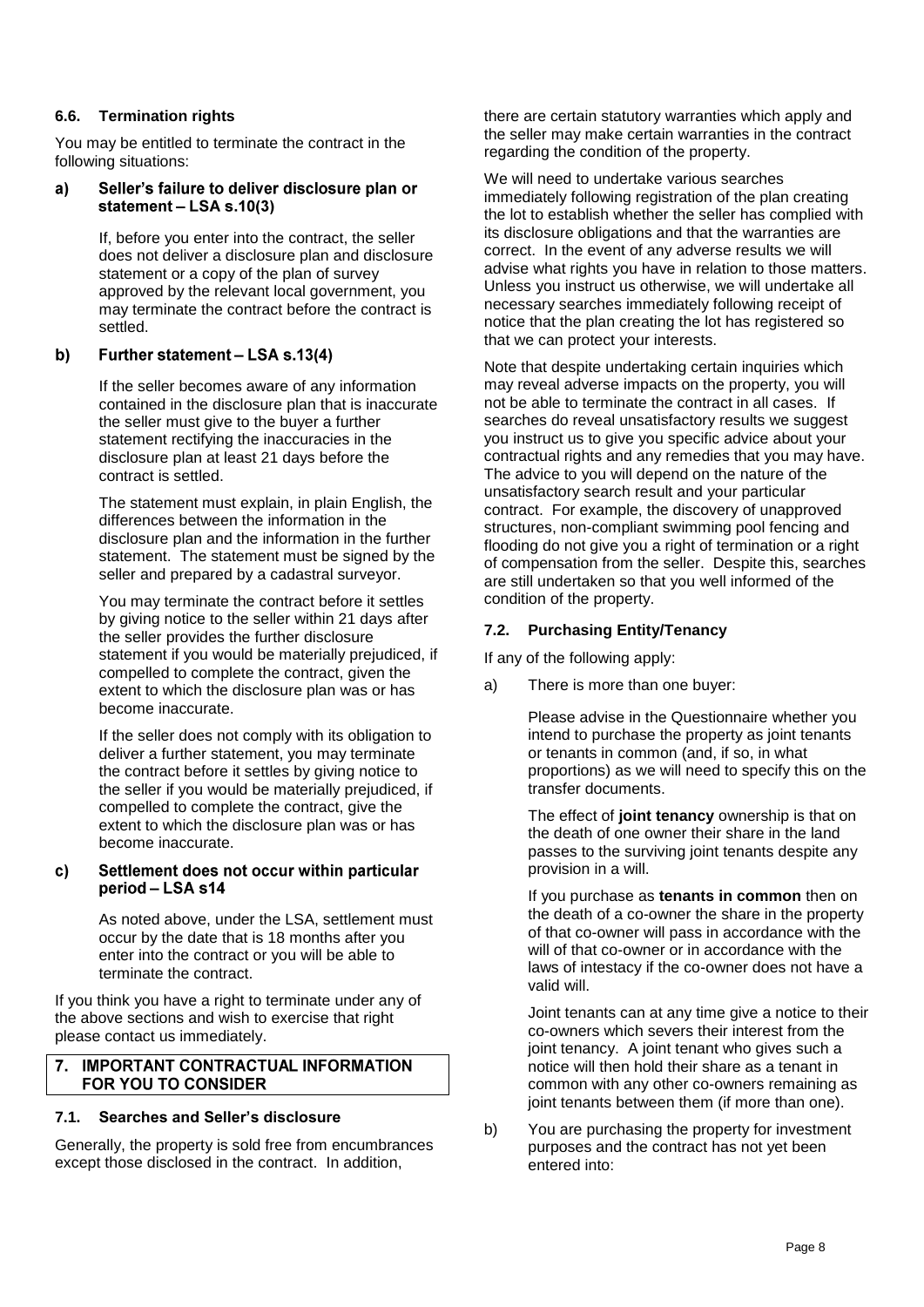# <span id="page-9-0"></span>**6.6. Termination rights**

You may be entitled to terminate the contract in the following situations:

#### Seller's failure to deliver disclosure plan or  $a)$ statement - LSA s.10(3)

If, before you enter into the contract, the seller does not deliver a disclosure plan and disclosure statement or a copy of the plan of survey approved by the relevant local government, you may terminate the contract before the contract is settled.

#### b) Further statement - LSA s.13(4)

If the seller becomes aware of any information contained in the disclosure plan that is inaccurate the seller must give to the buyer a further statement rectifying the inaccuracies in the disclosure plan at least 21 days before the contract is settled.

The statement must explain, in plain English, the differences between the information in the disclosure plan and the information in the further statement. The statement must be signed by the seller and prepared by a cadastral surveyor.

You may terminate the contract before it settles by giving notice to the seller within 21 days after the seller provides the further disclosure statement if you would be materially prejudiced, if compelled to complete the contract, given the extent to which the disclosure plan was or has become inaccurate.

If the seller does not comply with its obligation to deliver a further statement, you may terminate the contract before it settles by giving notice to the seller if you would be materially prejudiced, if compelled to complete the contract, give the extent to which the disclosure plan was or has become inaccurate.

#### Settlement does not occur within particular C) period - LSA s14

As noted above, under the LSA, settlement must occur by the date that is 18 months after you enter into the contract or you will be able to terminate the contract.

If you think you have a right to terminate under any of the above sections and wish to exercise that right please contact us immediately.

### 7. IMPORTANT CONTRACTUAL INFORMATION FOR YOU TO CONSIDER

# <span id="page-9-1"></span>**7.1. Searches and Seller's disclosure**

Generally, the property is sold free from encumbrances except those disclosed in the contract. In addition,

there are certain statutory warranties which apply and the seller may make certain warranties in the contract regarding the condition of the property.

We will need to undertake various searches immediately following registration of the plan creating the lot to establish whether the seller has complied with its disclosure obligations and that the warranties are correct. In the event of any adverse results we will advise what rights you have in relation to those matters. Unless you instruct us otherwise, we will undertake all necessary searches immediately following receipt of notice that the plan creating the lot has registered so that we can protect your interests.

Note that despite undertaking certain inquiries which may reveal adverse impacts on the property, you will not be able to terminate the contract in all cases. If searches do reveal unsatisfactory results we suggest you instruct us to give you specific advice about your contractual rights and any remedies that you may have. The advice to you will depend on the nature of the unsatisfactory search result and your particular contract. For example, the discovery of unapproved structures, non-compliant swimming pool fencing and flooding do not give you a right of termination or a right of compensation from the seller. Despite this, searches are still undertaken so that you well informed of the condition of the property.

# <span id="page-9-2"></span>**7.2. Purchasing Entity/Tenancy**

If any of the following apply:

a) There is more than one buyer:

Please advise in the Questionnaire whether you intend to purchase the property as joint tenants or tenants in common (and, if so, in what proportions) as we will need to specify this on the transfer documents.

The effect of **joint tenancy** ownership is that on the death of one owner their share in the land passes to the surviving joint tenants despite any provision in a will.

If you purchase as **tenants in common** then on the death of a co-owner the share in the property of that co-owner will pass in accordance with the will of that co-owner or in accordance with the laws of intestacy if the co-owner does not have a valid will.

Joint tenants can at any time give a notice to their co-owners which severs their interest from the joint tenancy. A joint tenant who gives such a notice will then hold their share as a tenant in common with any other co-owners remaining as joint tenants between them (if more than one).

b) You are purchasing the property for investment purposes and the contract has not yet been entered into: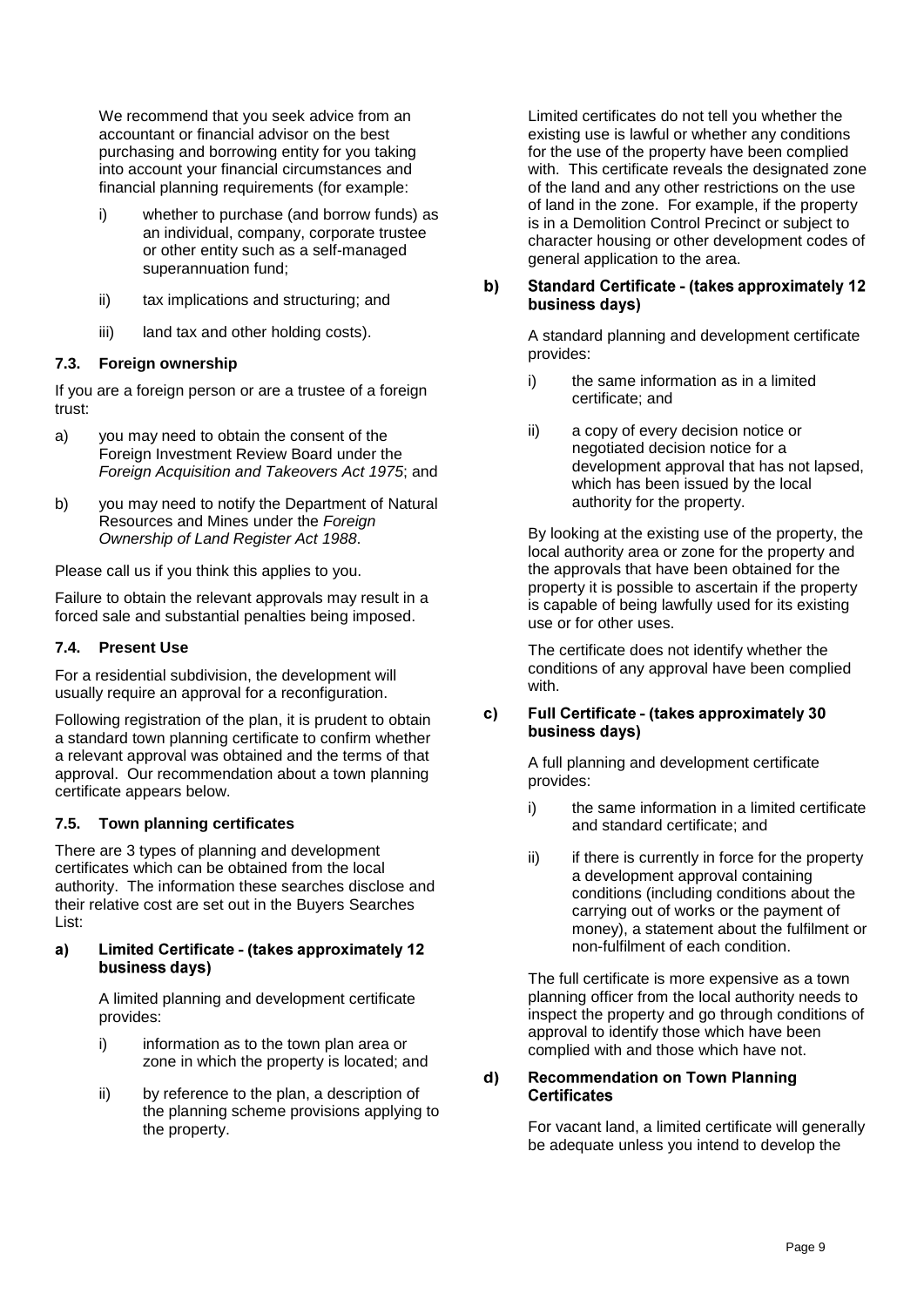We recommend that you seek advice from an accountant or financial advisor on the best purchasing and borrowing entity for you taking into account your financial circumstances and financial planning requirements (for example:

- i) whether to purchase (and borrow funds) as an individual, company, corporate trustee or other entity such as a self-managed superannuation fund;
- ii) tax implications and structuring; and
- iii) land tax and other holding costs).

# <span id="page-10-0"></span>**7.3. Foreign ownership**

If you are a foreign person or are a trustee of a foreign trust:

- a) you may need to obtain the consent of the Foreign Investment Review Board under the *Foreign Acquisition and Takeovers Act 1975*; and
- b) you may need to notify the Department of Natural Resources and Mines under the *Foreign Ownership of Land Register Act 1988*.

Please call us if you think this applies to you.

Failure to obtain the relevant approvals may result in a forced sale and substantial penalties being imposed.

# <span id="page-10-1"></span>**7.4. Present Use**

For a residential subdivision, the development will usually require an approval for a reconfiguration.

Following registration of the plan, it is prudent to obtain a standard town planning certificate to confirm whether a relevant approval was obtained and the terms of that approval. Our recommendation about a town planning certificate appears below.

### <span id="page-10-2"></span>**7.5. Town planning certificates**

There are 3 types of planning and development certificates which can be obtained from the local authority. The information these searches disclose and their relative cost are set out in the Buyers Searches List:

#### Limited Certificate - (takes approximately 12  $a)$ business davs)

A limited planning and development certificate provides:

- i) information as to the town plan area or zone in which the property is located; and
- ii) by reference to the plan, a description of the planning scheme provisions applying to the property.

Limited certificates do not tell you whether the existing use is lawful or whether any conditions for the use of the property have been complied with. This certificate reveals the designated zone of the land and any other restrictions on the use of land in the zone. For example, if the property is in a Demolition Control Precinct or subject to character housing or other development codes of general application to the area.

#### $b)$ **Standard Certificate - (takes approximately 12)** business days)

A standard planning and development certificate provides:

- i) the same information as in a limited certificate; and
- ii) a copy of every decision notice or negotiated decision notice for a development approval that has not lapsed, which has been issued by the local authority for the property.

By looking at the existing use of the property, the local authority area or zone for the property and the approvals that have been obtained for the property it is possible to ascertain if the property is capable of being lawfully used for its existing use or for other uses.

The certificate does not identify whether the conditions of any approval have been complied with.

#### $c)$ **Full Certificate - (takes approximately 30** business days)

A full planning and development certificate provides:

- i) the same information in a limited certificate and standard certificate; and
- ii) if there is currently in force for the property a development approval containing conditions (including conditions about the carrying out of works or the payment of money), a statement about the fulfilment or non-fulfilment of each condition.

The full certificate is more expensive as a town planning officer from the local authority needs to inspect the property and go through conditions of approval to identify those which have been complied with and those which have not.

#### $\mathbf{d}$ **Recommendation on Town Planning Certificates**

For vacant land, a limited certificate will generally be adequate unless you intend to develop the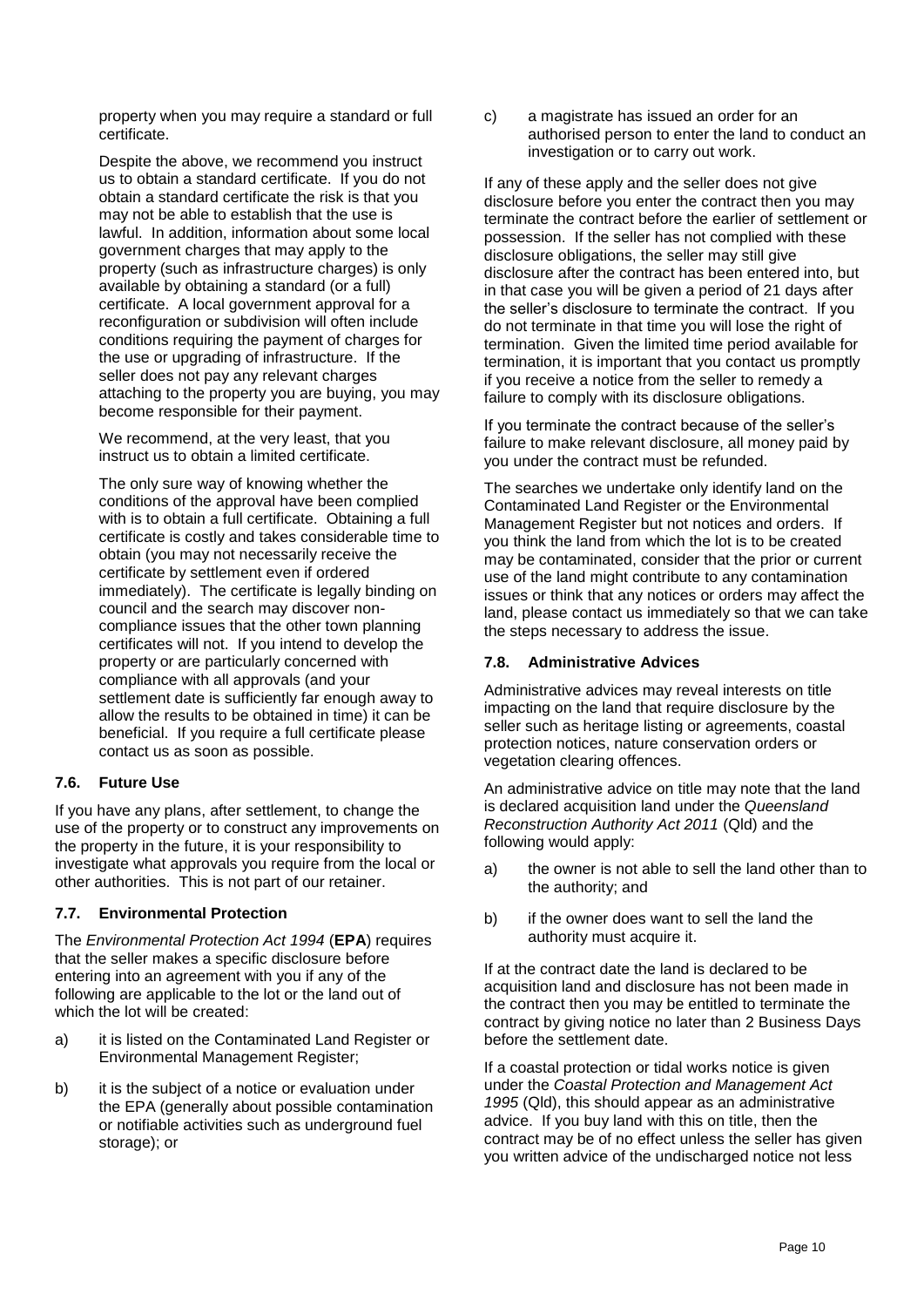property when you may require a standard or full certificate.

Despite the above, we recommend you instruct us to obtain a standard certificate. If you do not obtain a standard certificate the risk is that you may not be able to establish that the use is lawful. In addition, information about some local government charges that may apply to the property (such as infrastructure charges) is only available by obtaining a standard (or a full) certificate. A local government approval for a reconfiguration or subdivision will often include conditions requiring the payment of charges for the use or upgrading of infrastructure. If the seller does not pay any relevant charges attaching to the property you are buying, you may become responsible for their payment.

We recommend, at the very least, that you instruct us to obtain a limited certificate.

The only sure way of knowing whether the conditions of the approval have been complied with is to obtain a full certificate. Obtaining a full certificate is costly and takes considerable time to obtain (you may not necessarily receive the certificate by settlement even if ordered immediately). The certificate is legally binding on council and the search may discover noncompliance issues that the other town planning certificates will not. If you intend to develop the property or are particularly concerned with compliance with all approvals (and your settlement date is sufficiently far enough away to allow the results to be obtained in time) it can be beneficial. If you require a full certificate please contact us as soon as possible.

### <span id="page-11-0"></span>**7.6. Future Use**

If you have any plans, after settlement, to change the use of the property or to construct any improvements on the property in the future, it is your responsibility to investigate what approvals you require from the local or other authorities. This is not part of our retainer.

### <span id="page-11-1"></span>**7.7. Environmental Protection**

The *Environmental Protection Act 1994* (**EPA**) requires that the seller makes a specific disclosure before entering into an agreement with you if any of the following are applicable to the lot or the land out of which the lot will be created:

- a) it is listed on the Contaminated Land Register or Environmental Management Register;
- b) it is the subject of a notice or evaluation under the EPA (generally about possible contamination or notifiable activities such as underground fuel storage); or

c) a magistrate has issued an order for an authorised person to enter the land to conduct an investigation or to carry out work.

If any of these apply and the seller does not give disclosure before you enter the contract then you may terminate the contract before the earlier of settlement or possession. If the seller has not complied with these disclosure obligations, the seller may still give disclosure after the contract has been entered into, but in that case you will be given a period of 21 days after the seller's disclosure to terminate the contract. If you do not terminate in that time you will lose the right of termination. Given the limited time period available for termination, it is important that you contact us promptly if you receive a notice from the seller to remedy a failure to comply with its disclosure obligations.

If you terminate the contract because of the seller's failure to make relevant disclosure, all money paid by you under the contract must be refunded.

The searches we undertake only identify land on the Contaminated Land Register or the Environmental Management Register but not notices and orders. If you think the land from which the lot is to be created may be contaminated, consider that the prior or current use of the land might contribute to any contamination issues or think that any notices or orders may affect the land, please contact us immediately so that we can take the steps necessary to address the issue.

### <span id="page-11-2"></span>**7.8. Administrative Advices**

Administrative advices may reveal interests on title impacting on the land that require disclosure by the seller such as heritage listing or agreements, coastal protection notices, nature conservation orders or vegetation clearing offences.

An administrative advice on title may note that the land is declared acquisition land under the *Queensland Reconstruction Authority Act 2011* (Qld) and the following would apply:

- a) the owner is not able to sell the land other than to the authority; and
- b) if the owner does want to sell the land the authority must acquire it.

If at the contract date the land is declared to be acquisition land and disclosure has not been made in the contract then you may be entitled to terminate the contract by giving notice no later than 2 Business Days before the settlement date.

If a coastal protection or tidal works notice is given under the *Coastal Protection and Management Act 1995* (Qld), this should appear as an administrative advice. If you buy land with this on title, then the contract may be of no effect unless the seller has given you written advice of the undischarged notice not less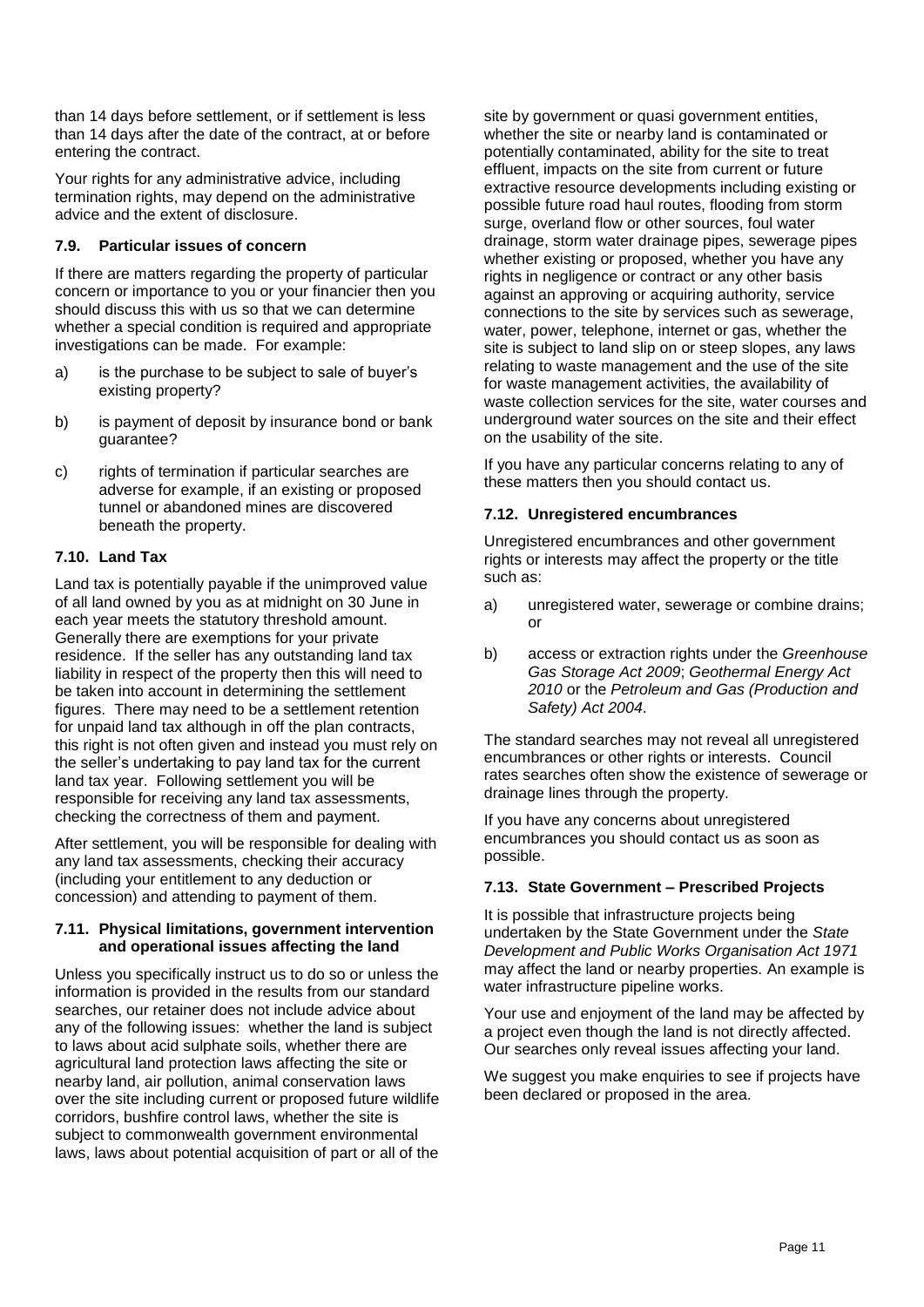than 14 days before settlement, or if settlement is less than 14 days after the date of the contract, at or before entering the contract.

Your rights for any administrative advice, including termination rights, may depend on the administrative advice and the extent of disclosure.

# <span id="page-12-0"></span>**7.9. Particular issues of concern**

If there are matters regarding the property of particular concern or importance to you or your financier then you should discuss this with us so that we can determine whether a special condition is required and appropriate investigations can be made. For example:

- a) is the purchase to be subject to sale of buyer's existing property?
- b) is payment of deposit by insurance bond or bank guarantee?
- c) rights of termination if particular searches are adverse for example, if an existing or proposed tunnel or abandoned mines are discovered beneath the property.

### <span id="page-12-1"></span>**7.10. Land Tax**

Land tax is potentially payable if the unimproved value of all land owned by you as at midnight on 30 June in each year meets the statutory threshold amount. Generally there are exemptions for your private residence. If the seller has any outstanding land tax liability in respect of the property then this will need to be taken into account in determining the settlement figures. There may need to be a settlement retention for unpaid land tax although in off the plan contracts, this right is not often given and instead you must rely on the seller's undertaking to pay land tax for the current land tax year. Following settlement you will be responsible for receiving any land tax assessments, checking the correctness of them and payment.

After settlement, you will be responsible for dealing with any land tax assessments, checking their accuracy (including your entitlement to any deduction or concession) and attending to payment of them.

#### <span id="page-12-2"></span>**7.11. Physical limitations, government intervention and operational issues affecting the land**

Unless you specifically instruct us to do so or unless the information is provided in the results from our standard searches, our retainer does not include advice about any of the following issues: whether the land is subject to laws about acid sulphate soils, whether there are agricultural land protection laws affecting the site or nearby land, air pollution, animal conservation laws over the site including current or proposed future wildlife corridors, bushfire control laws, whether the site is subject to commonwealth government environmental laws, laws about potential acquisition of part or all of the

site by government or quasi government entities. whether the site or nearby land is contaminated or potentially contaminated, ability for the site to treat effluent, impacts on the site from current or future extractive resource developments including existing or possible future road haul routes, flooding from storm surge, overland flow or other sources, foul water drainage, storm water drainage pipes, sewerage pipes whether existing or proposed, whether you have any rights in negligence or contract or any other basis against an approving or acquiring authority, service connections to the site by services such as sewerage, water, power, telephone, internet or gas, whether the site is subject to land slip on or steep slopes, any laws relating to waste management and the use of the site for waste management activities, the availability of waste collection services for the site, water courses and underground water sources on the site and their effect on the usability of the site.

If you have any particular concerns relating to any of these matters then you should contact us.

# <span id="page-12-3"></span>**7.12. Unregistered encumbrances**

Unregistered encumbrances and other government rights or interests may affect the property or the title such as:

- a) unregistered water, sewerage or combine drains; or
- b) access or extraction rights under the *Greenhouse Gas Storage Act 2009*; *Geothermal Energy Act 2010* or the *Petroleum and Gas (Production and Safety) Act 2004*.

The standard searches may not reveal all unregistered encumbrances or other rights or interests. Council rates searches often show the existence of sewerage or drainage lines through the property.

If you have any concerns about unregistered encumbrances you should contact us as soon as possible.

### <span id="page-12-4"></span>**7.13. State Government – Prescribed Projects**

It is possible that infrastructure projects being undertaken by the State Government under the *State Development and Public Works Organisation Act 1971* may affect the land or nearby properties. An example is water infrastructure pipeline works.

Your use and enjoyment of the land may be affected by a project even though the land is not directly affected. Our searches only reveal issues affecting your land.

We suggest you make enquiries to see if projects have been declared or proposed in the area.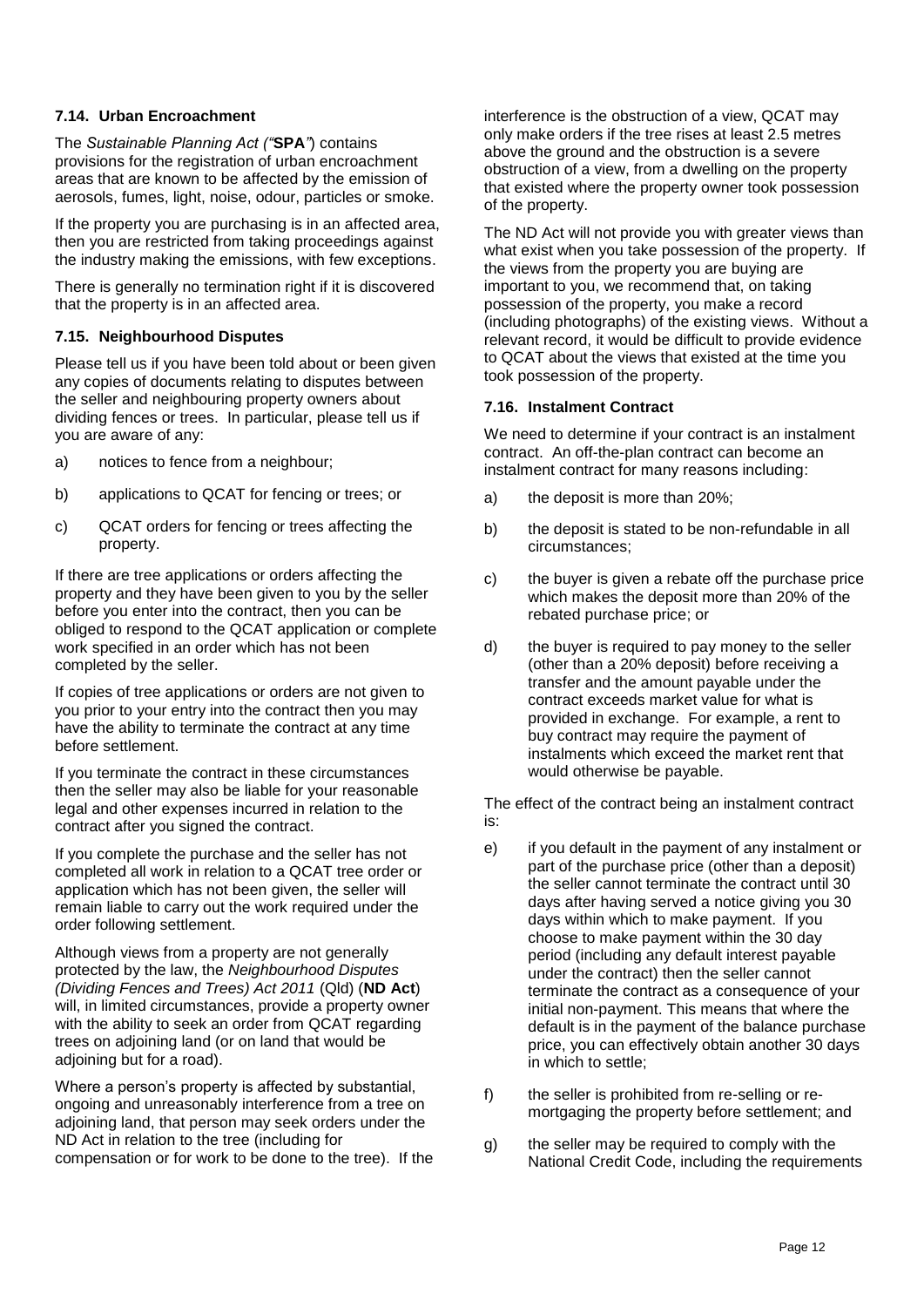### <span id="page-13-0"></span>**7.14. Urban Encroachment**

The *Sustainable Planning Act ("***SPA***"*) contains provisions for the registration of urban encroachment areas that are known to be affected by the emission of aerosols, fumes, light, noise, odour, particles or smoke.

If the property you are purchasing is in an affected area, then you are restricted from taking proceedings against the industry making the emissions, with few exceptions.

There is generally no termination right if it is discovered that the property is in an affected area.

### <span id="page-13-1"></span>**7.15. Neighbourhood Disputes**

Please tell us if you have been told about or been given any copies of documents relating to disputes between the seller and neighbouring property owners about dividing fences or trees. In particular, please tell us if you are aware of any:

- a) notices to fence from a neighbour;
- b) applications to QCAT for fencing or trees; or
- c) QCAT orders for fencing or trees affecting the property.

If there are tree applications or orders affecting the property and they have been given to you by the seller before you enter into the contract, then you can be obliged to respond to the QCAT application or complete work specified in an order which has not been completed by the seller.

If copies of tree applications or orders are not given to you prior to your entry into the contract then you may have the ability to terminate the contract at any time before settlement.

If you terminate the contract in these circumstances then the seller may also be liable for your reasonable legal and other expenses incurred in relation to the contract after you signed the contract.

If you complete the purchase and the seller has not completed all work in relation to a QCAT tree order or application which has not been given, the seller will remain liable to carry out the work required under the order following settlement.

Although views from a property are not generally protected by the law, the *Neighbourhood Disputes (Dividing Fences and Trees) Act 2011* (Qld) (**ND Act**) will, in limited circumstances, provide a property owner with the ability to seek an order from QCAT regarding trees on adjoining land (or on land that would be adjoining but for a road).

Where a person's property is affected by substantial, ongoing and unreasonably interference from a tree on adjoining land, that person may seek orders under the ND Act in relation to the tree (including for compensation or for work to be done to the tree). If the interference is the obstruction of a view, QCAT may only make orders if the tree rises at least 2.5 metres above the ground and the obstruction is a severe obstruction of a view, from a dwelling on the property that existed where the property owner took possession of the property.

The ND Act will not provide you with greater views than what exist when you take possession of the property. If the views from the property you are buying are important to you, we recommend that, on taking possession of the property, you make a record (including photographs) of the existing views. Without a relevant record, it would be difficult to provide evidence to QCAT about the views that existed at the time you took possession of the property.

### <span id="page-13-2"></span>**7.16. Instalment Contract**

We need to determine if your contract is an instalment contract. An off-the-plan contract can become an instalment contract for many reasons including:

- a) the deposit is more than 20%;
- b) the deposit is stated to be non-refundable in all circumstances;
- c) the buyer is given a rebate off the purchase price which makes the deposit more than 20% of the rebated purchase price; or
- d) the buyer is required to pay money to the seller (other than a 20% deposit) before receiving a transfer and the amount payable under the contract exceeds market value for what is provided in exchange. For example, a rent to buy contract may require the payment of instalments which exceed the market rent that would otherwise be payable.

The effect of the contract being an instalment contract is:

- e) if you default in the payment of any instalment or part of the purchase price (other than a deposit) the seller cannot terminate the contract until 30 days after having served a notice giving you 30 days within which to make payment. If you choose to make payment within the 30 day period (including any default interest payable under the contract) then the seller cannot terminate the contract as a consequence of your initial non-payment. This means that where the default is in the payment of the balance purchase price, you can effectively obtain another 30 days in which to settle;
- f) the seller is prohibited from re-selling or remortgaging the property before settlement; and
- g) the seller may be required to comply with the National Credit Code, including the requirements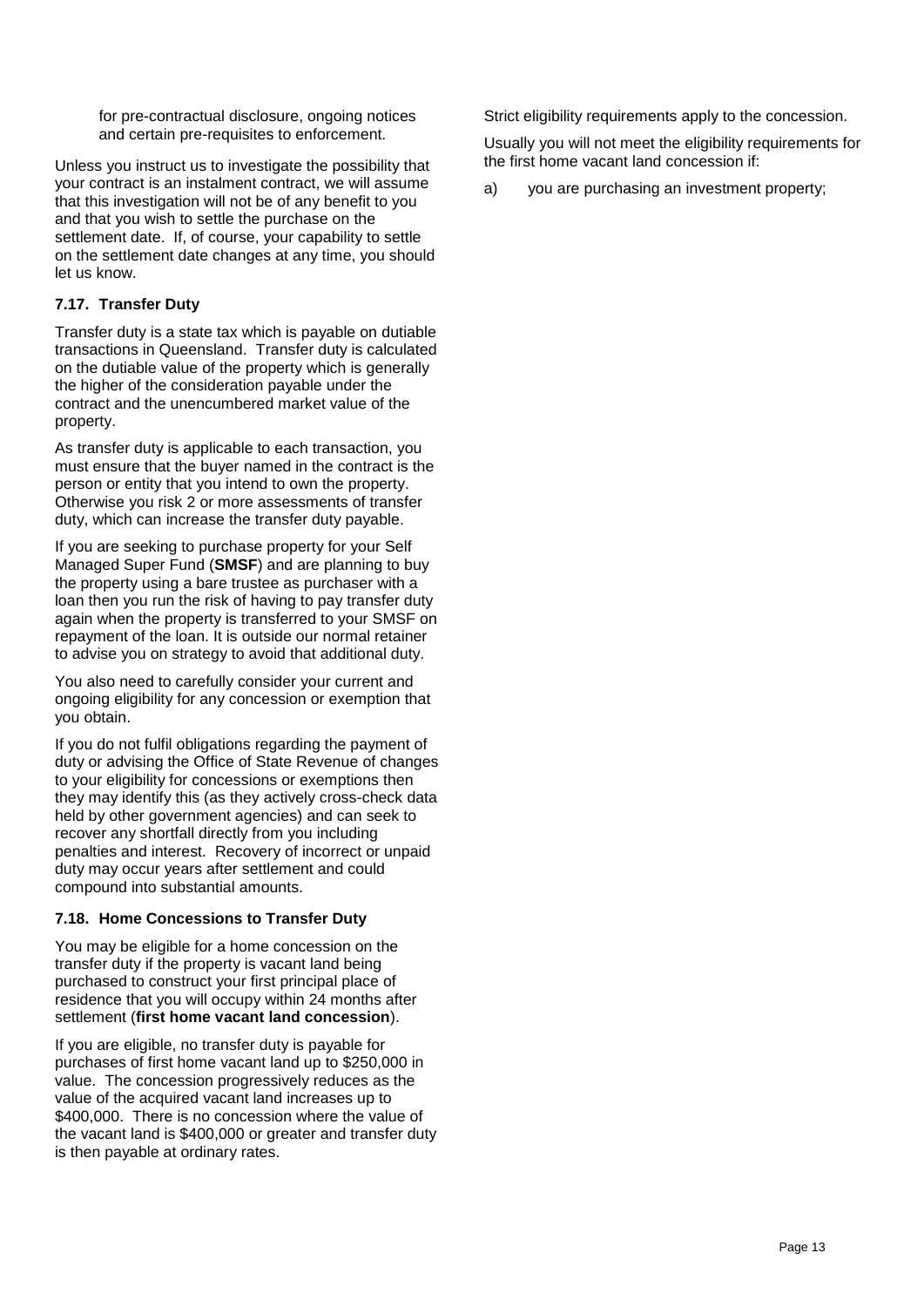for pre-contractual disclosure, ongoing notices and certain pre-requisites to enforcement.

Unless you instruct us to investigate the possibility that your contract is an instalment contract, we will assume that this investigation will not be of any benefit to you and that you wish to settle the purchase on the settlement date. If, of course, your capability to settle on the settlement date changes at any time, you should let us know.

# <span id="page-14-0"></span>**7.17. Transfer Duty**

Transfer duty is a state tax which is payable on dutiable transactions in Queensland. Transfer duty is calculated on the dutiable value of the property which is generally the higher of the consideration payable under the contract and the unencumbered market value of the property.

As transfer duty is applicable to each transaction, you must ensure that the buyer named in the contract is the person or entity that you intend to own the property. Otherwise you risk 2 or more assessments of transfer duty, which can increase the transfer duty payable.

If you are seeking to purchase property for your Self Managed Super Fund (**SMSF**) and are planning to buy the property using a bare trustee as purchaser with a loan then you run the risk of having to pay transfer duty again when the property is transferred to your SMSF on repayment of the loan. It is outside our normal retainer to advise you on strategy to avoid that additional duty.

You also need to carefully consider your current and ongoing eligibility for any concession or exemption that you obtain.

If you do not fulfil obligations regarding the payment of duty or advising the Office of State Revenue of changes to your eligibility for concessions or exemptions then they may identify this (as they actively cross-check data held by other government agencies) and can seek to recover any shortfall directly from you including penalties and interest. Recovery of incorrect or unpaid duty may occur years after settlement and could compound into substantial amounts.

### <span id="page-14-1"></span>**7.18. Home Concessions to Transfer Duty**

You may be eligible for a home concession on the transfer duty if the property is vacant land being purchased to construct your first principal place of residence that you will occupy within 24 months after settlement (**first home vacant land concession**).

If you are eligible, no transfer duty is payable for purchases of first home vacant land up to \$250,000 in value. The concession progressively reduces as the value of the acquired vacant land increases up to \$400,000. There is no concession where the value of the vacant land is \$400,000 or greater and transfer duty is then payable at ordinary rates.

Strict eligibility requirements apply to the concession.

Usually you will not meet the eligibility requirements for the first home vacant land concession if:

a) vou are purchasing an investment property: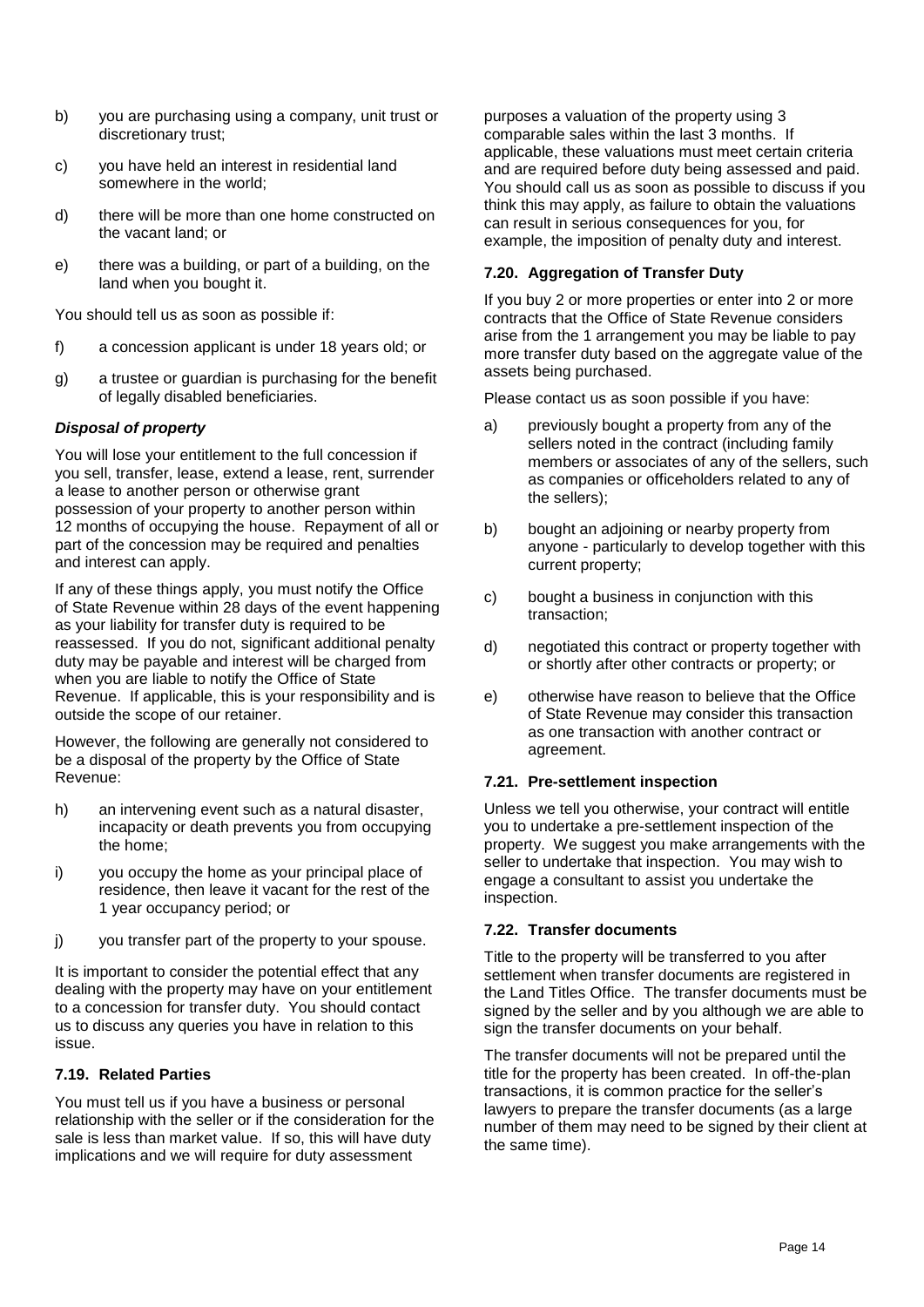- b) you are purchasing using a company, unit trust or discretionary trust;
- c) you have held an interest in residential land somewhere in the world;
- d) there will be more than one home constructed on the vacant land; or
- e) there was a building, or part of a building, on the land when you bought it.

You should tell us as soon as possible if:

- f) a concession applicant is under 18 years old; or
- g) a trustee or guardian is purchasing for the benefit of legally disabled beneficiaries.

# *Disposal of property*

You will lose your entitlement to the full concession if you sell, transfer, lease, extend a lease, rent, surrender a lease to another person or otherwise grant possession of your property to another person within 12 months of occupying the house. Repayment of all or part of the concession may be required and penalties and interest can apply.

If any of these things apply, you must notify the Office of State Revenue within 28 days of the event happening as your liability for transfer duty is required to be reassessed. If you do not, significant additional penalty duty may be payable and interest will be charged from when you are liable to notify the Office of State Revenue. If applicable, this is your responsibility and is outside the scope of our retainer.

However, the following are generally not considered to be a disposal of the property by the Office of State Revenue:

- h) an intervening event such as a natural disaster, incapacity or death prevents you from occupying the home;
- i) you occupy the home as your principal place of residence, then leave it vacant for the rest of the 1 year occupancy period; or
- j) you transfer part of the property to your spouse.

It is important to consider the potential effect that any dealing with the property may have on your entitlement to a concession for transfer duty. You should contact us to discuss any queries you have in relation to this issue.

### <span id="page-15-0"></span>**7.19. Related Parties**

You must tell us if you have a business or personal relationship with the seller or if the consideration for the sale is less than market value. If so, this will have duty implications and we will require for duty assessment

purposes a valuation of the property using 3 comparable sales within the last 3 months. If applicable, these valuations must meet certain criteria and are required before duty being assessed and paid. You should call us as soon as possible to discuss if you think this may apply, as failure to obtain the valuations can result in serious consequences for you, for example, the imposition of penalty duty and interest.

### <span id="page-15-1"></span>**7.20. Aggregation of Transfer Duty**

If you buy 2 or more properties or enter into 2 or more contracts that the Office of State Revenue considers arise from the 1 arrangement you may be liable to pay more transfer duty based on the aggregate value of the assets being purchased.

Please contact us as soon possible if you have:

- a) previously bought a property from any of the sellers noted in the contract (including family members or associates of any of the sellers, such as companies or officeholders related to any of the sellers);
- b) bought an adjoining or nearby property from anyone - particularly to develop together with this current property;
- c) bought a business in conjunction with this transaction;
- d) negotiated this contract or property together with or shortly after other contracts or property; or
- e) otherwise have reason to believe that the Office of State Revenue may consider this transaction as one transaction with another contract or agreement.

### <span id="page-15-2"></span>**7.21. Pre-settlement inspection**

Unless we tell you otherwise, your contract will entitle you to undertake a pre-settlement inspection of the property. We suggest you make arrangements with the seller to undertake that inspection. You may wish to engage a consultant to assist you undertake the inspection.

### <span id="page-15-3"></span>**7.22. Transfer documents**

Title to the property will be transferred to you after settlement when transfer documents are registered in the Land Titles Office. The transfer documents must be signed by the seller and by you although we are able to sign the transfer documents on your behalf.

The transfer documents will not be prepared until the title for the property has been created. In off-the-plan transactions, it is common practice for the seller's lawyers to prepare the transfer documents (as a large number of them may need to be signed by their client at the same time).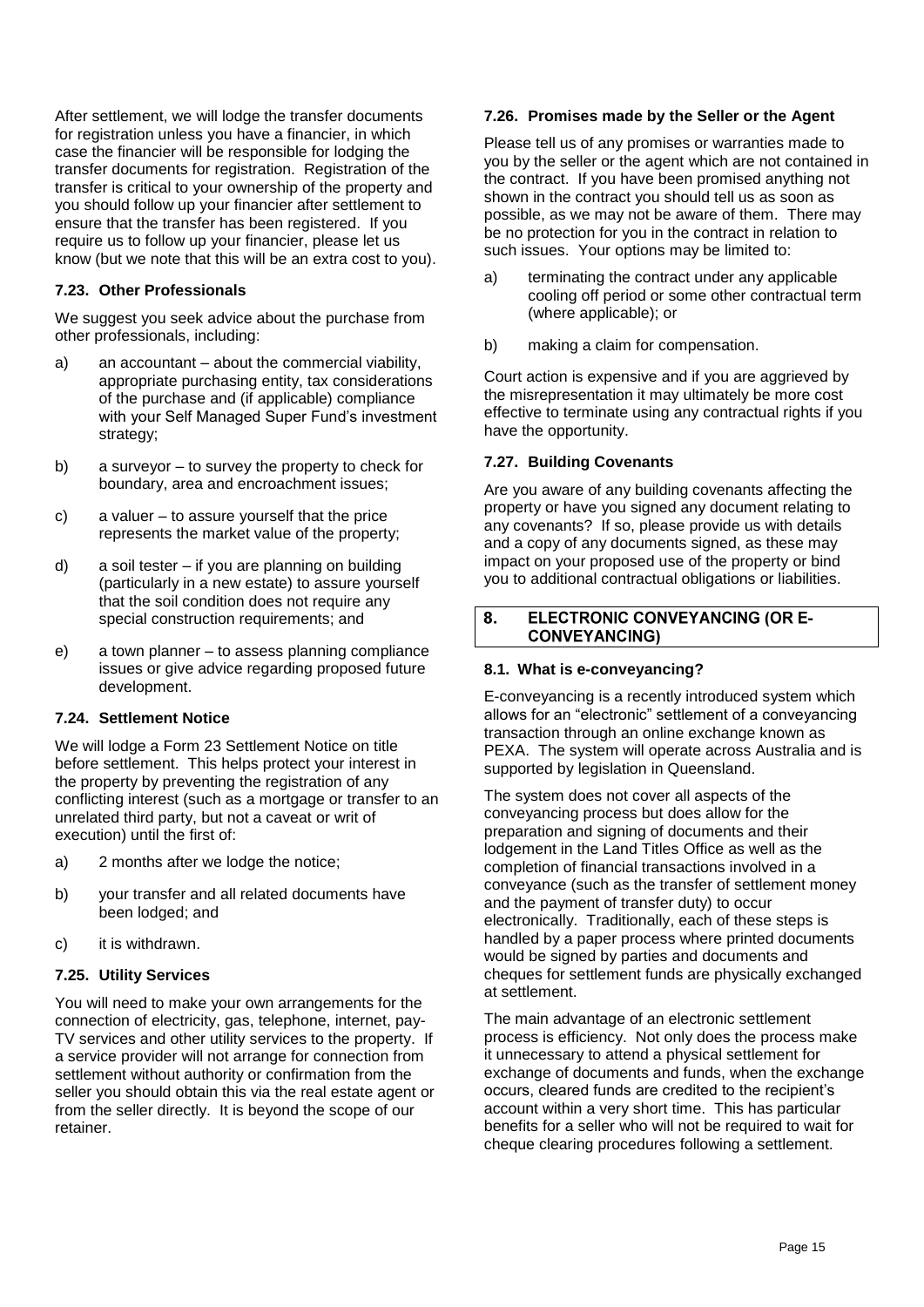After settlement, we will lodge the transfer documents for registration unless you have a financier, in which case the financier will be responsible for lodging the transfer documents for registration. Registration of the transfer is critical to your ownership of the property and you should follow up your financier after settlement to ensure that the transfer has been registered. If you require us to follow up your financier, please let us know (but we note that this will be an extra cost to you).

# <span id="page-16-0"></span>**7.23. Other Professionals**

We suggest you seek advice about the purchase from other professionals, including:

- a) an accountant about the commercial viability, appropriate purchasing entity, tax considerations of the purchase and (if applicable) compliance with your Self Managed Super Fund's investment strategy;
- b) a surveyor to survey the property to check for boundary, area and encroachment issues;
- c) a valuer to assure yourself that the price represents the market value of the property;
- d) a soil tester if you are planning on building (particularly in a new estate) to assure yourself that the soil condition does not require any special construction requirements; and
- e) a town planner to assess planning compliance issues or give advice regarding proposed future development.

### <span id="page-16-1"></span>**7.24. Settlement Notice**

We will lodge a Form 23 Settlement Notice on title before settlement. This helps protect your interest in the property by preventing the registration of any conflicting interest (such as a mortgage or transfer to an unrelated third party, but not a caveat or writ of execution) until the first of:

- a) 2 months after we lodge the notice;
- b) your transfer and all related documents have been lodged; and
- c) it is withdrawn.

### <span id="page-16-2"></span>**7.25. Utility Services**

You will need to make your own arrangements for the connection of electricity, gas, telephone, internet, pay-TV services and other utility services to the property. If a service provider will not arrange for connection from settlement without authority or confirmation from the seller you should obtain this via the real estate agent or from the seller directly. It is beyond the scope of our retainer.

#### <span id="page-16-3"></span>**7.26. Promises made by the Seller or the Agent**

Please tell us of any promises or warranties made to you by the seller or the agent which are not contained in the contract. If you have been promised anything not shown in the contract you should tell us as soon as possible, as we may not be aware of them. There may be no protection for you in the contract in relation to such issues. Your options may be limited to:

- a) terminating the contract under any applicable cooling off period or some other contractual term (where applicable); or
- b) making a claim for compensation.

Court action is expensive and if you are aggrieved by the misrepresentation it may ultimately be more cost effective to terminate using any contractual rights if you have the opportunity.

#### <span id="page-16-4"></span>**7.27. Building Covenants**

Are you aware of any building covenants affecting the property or have you signed any document relating to any covenants? If so, please provide us with details and a copy of any documents signed, as these may impact on your proposed use of the property or bind you to additional contractual obligations or liabilities.

#### **ELECTRONIC CONVEYANCING (OR E-**8. **CONVEYANCING)**

### <span id="page-16-5"></span>**8.1. What is e-conveyancing?**

E-conveyancing is a recently introduced system which allows for an "electronic" settlement of a conveyancing transaction through an online exchange known as PEXA. The system will operate across Australia and is supported by legislation in Queensland.

The system does not cover all aspects of the conveyancing process but does allow for the preparation and signing of documents and their lodgement in the Land Titles Office as well as the completion of financial transactions involved in a conveyance (such as the transfer of settlement money and the payment of transfer duty) to occur electronically. Traditionally, each of these steps is handled by a paper process where printed documents would be signed by parties and documents and cheques for settlement funds are physically exchanged at settlement.

The main advantage of an electronic settlement process is efficiency. Not only does the process make it unnecessary to attend a physical settlement for exchange of documents and funds, when the exchange occurs, cleared funds are credited to the recipient's account within a very short time. This has particular benefits for a seller who will not be required to wait for cheque clearing procedures following a settlement.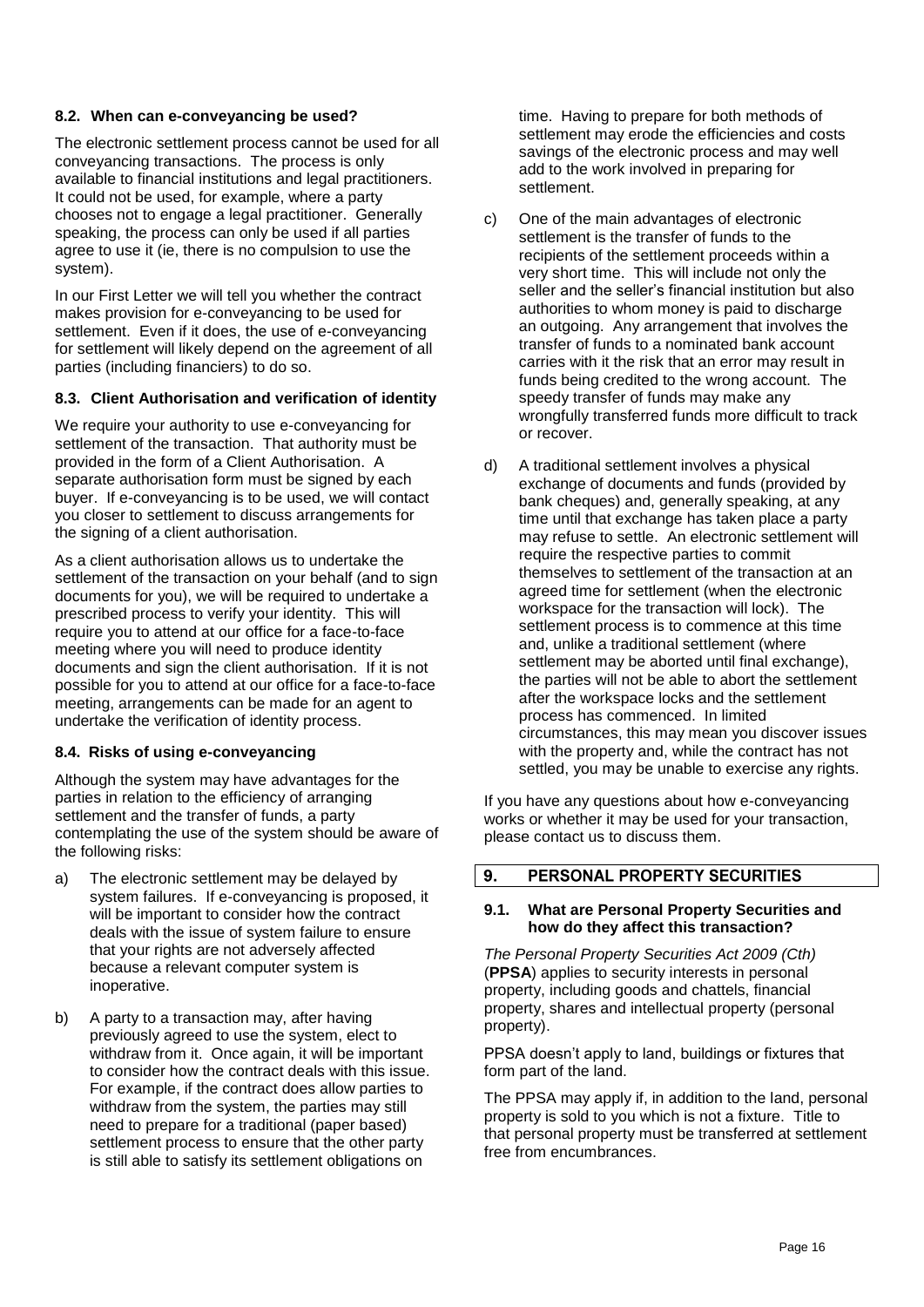#### <span id="page-17-0"></span>**8.2. When can e-conveyancing be used?**

The electronic settlement process cannot be used for all conveyancing transactions. The process is only available to financial institutions and legal practitioners. It could not be used, for example, where a party chooses not to engage a legal practitioner. Generally speaking, the process can only be used if all parties agree to use it (ie, there is no compulsion to use the system).

In our First Letter we will tell you whether the contract makes provision for e-conveyancing to be used for settlement. Even if it does, the use of e-conveyancing for settlement will likely depend on the agreement of all parties (including financiers) to do so.

# <span id="page-17-1"></span>**8.3. Client Authorisation and verification of identity**

We require your authority to use e-conveyancing for settlement of the transaction. That authority must be provided in the form of a Client Authorisation. A separate authorisation form must be signed by each buyer. If e-conveyancing is to be used, we will contact you closer to settlement to discuss arrangements for the signing of a client authorisation.

As a client authorisation allows us to undertake the settlement of the transaction on your behalf (and to sign documents for you), we will be required to undertake a prescribed process to verify your identity. This will require you to attend at our office for a face-to-face meeting where you will need to produce identity documents and sign the client authorisation. If it is not possible for you to attend at our office for a face-to-face meeting, arrangements can be made for an agent to undertake the verification of identity process.

#### <span id="page-17-2"></span>**8.4. Risks of using e-conveyancing**

Although the system may have advantages for the parties in relation to the efficiency of arranging settlement and the transfer of funds, a party contemplating the use of the system should be aware of the following risks:

- a) The electronic settlement may be delayed by system failures. If e-conveyancing is proposed, it will be important to consider how the contract deals with the issue of system failure to ensure that your rights are not adversely affected because a relevant computer system is inoperative.
- b) A party to a transaction may, after having previously agreed to use the system, elect to withdraw from it. Once again, it will be important to consider how the contract deals with this issue. For example, if the contract does allow parties to withdraw from the system, the parties may still need to prepare for a traditional (paper based) settlement process to ensure that the other party is still able to satisfy its settlement obligations on

time. Having to prepare for both methods of settlement may erode the efficiencies and costs savings of the electronic process and may well add to the work involved in preparing for settlement.

- c) One of the main advantages of electronic settlement is the transfer of funds to the recipients of the settlement proceeds within a very short time. This will include not only the seller and the seller's financial institution but also authorities to whom money is paid to discharge an outgoing. Any arrangement that involves the transfer of funds to a nominated bank account carries with it the risk that an error may result in funds being credited to the wrong account. The speedy transfer of funds may make any wrongfully transferred funds more difficult to track or recover.
- d) A traditional settlement involves a physical exchange of documents and funds (provided by bank cheques) and, generally speaking, at any time until that exchange has taken place a party may refuse to settle. An electronic settlement will require the respective parties to commit themselves to settlement of the transaction at an agreed time for settlement (when the electronic workspace for the transaction will lock). The settlement process is to commence at this time and, unlike a traditional settlement (where settlement may be aborted until final exchange), the parties will not be able to abort the settlement after the workspace locks and the settlement process has commenced. In limited circumstances, this may mean you discover issues with the property and, while the contract has not settled, you may be unable to exercise any rights.

If you have any questions about how e-conveyancing works or whether it may be used for your transaction, please contact us to discuss them.

#### 9. PERSONAL PROPERTY SECURITIES

#### <span id="page-17-3"></span>**9.1. What are Personal Property Securities and how do they affect this transaction?**

*The Personal Property Securities Act 2009 (Cth)* (**PPSA**) applies to security interests in personal property, including goods and chattels, financial property, shares and intellectual property (personal property).

PPSA doesn't apply to land, buildings or fixtures that form part of the land.

The PPSA may apply if, in addition to the land, personal property is sold to you which is not a fixture. Title to that personal property must be transferred at settlement free from encumbrances.